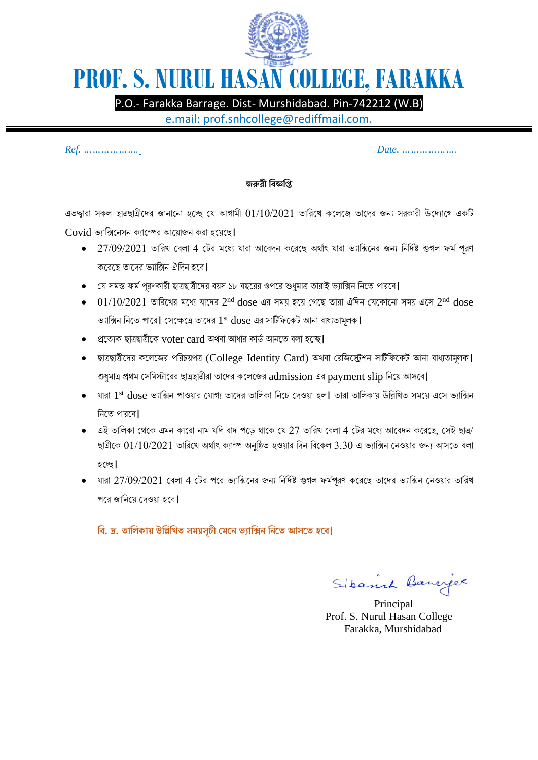

## **PROF. S. NURUL HASAN COLLEGE, FARAKKA**

P.O.- Farakka Barrage. Dist- Murshidabad. Pin-742212 (W.B)

e.mail: prof.snhcollege@rediffmail.com.

*Ref. ………………. Date. ……………….*

## **জরুরী বিজ্ঞবি**

এতদ্দ্বারা সকল ছাত্রছাত্রীদের জানানো হচ্ছে যে আগামী  $01/10/2021$  তারিখে কলেজে তাদের জন্য সরকারী উদ্যোগে একটি  $Covid$  ভ্যাক্সিনেসন ক্যাম্পের আয়োজন করা হয়েছে।

- $\bullet$  27/09/2021 তারিখ বেলা 4 টের মধ্যে যারা আবেদন করেছে অর্থাৎ যারা ভ্যাক্সিনের জন্য নির্দিষ্ট গুগল ফর্ম পূরণ কদরদছ তাদের ভ্যারিন ঐরেন হদে।
- যে সমস্ত ফর্ম পূরণকারী ছাত্রছাত্রীদের বয়স ১৮ বছরের ওপরে শুধুমাত্র তারাই ভ্যাক্সিন নিতে পারবে।
- $\bullet$   $\,$   $\,01/10/2021\,$  তারিখের মধ্যে যাদের  $2^{\rm nd}\, {\rm does}$  এর সময় হয়ে গেছে তারা ঐদিন যেকোনো সময় এসে  $2^{\rm nd}\, {\rm does}$ ভ্যাক্সিন নিতে পারে| সেক্ষেত্রে তাদের  $1^{\mathrm{st}}$   $\mathrm{dose}$  এর সাটিফিকেট আনা বাধ্যতামূলক|
- $\bullet$  প্রত্যেক ছাত্রছাত্রীকে voter card অথবা আধার কার্ড আনতে বলা হচ্ছে।
- ছাত্রছাত্রীদের কলেজের পরিচয়পত্র (College Identity Card) অথবা রেজিস্ট্রেশন সাটিফিকেট আনা বাধ্যতামূলক। শুধুমাত্র প্রথম সেমিস্টারের ছাত্রছাত্রীরা তাদের কলেজের admission এর payment slip নিয়ে আসবে।
- $\bullet$  যারা  $1^{\text{st}}$   $\text{dose}$  ভ্যাক্সিন পাওয়ার যোগ্য তাদের তালিকা নিচে দেওয়া হল। তারা তালিকায় উল্লিখিত সময়ে এসে ভ্যাক্সিন ৱিতে পারবে।
- $\bullet$  এই তালিকা থেকে এমন কারো নাম যদি বাদ পডে থাকে যে 27 তারিখ বেলা 4 টের মধ্যে আবেদন করেছে, সেই ছাত্র/ ছাত্রীকে  $01/10/2021$  তারিখে অর্থাৎ ক্যাম্প অনুষ্ঠিত হওয়ার দিন বিকেল  $3.30$  এ ভ্যাক্সিন নেওয়ার জন্য আসতে বলা হদে।
- $\bullet$  যারা  $27/09/2021$  বেলা  $4$  টের পরে ভ্যাক্সিনের জন্য নির্দিষ্ট গুগল ফর্মপরণ করেছে তাদের ভ্যাক্সিন নেওয়ার তারিখ পরে জানিয়ে দেওয়া হবে।

**বি. দ্র. তাবিকায় উবিবিত সময়সূচী মমনে ভ্যাবিে বেনত আসনত হনি।**

Sibanch Bancyce

 Principal Prof. S. Nurul Hasan College Farakka, Murshidabad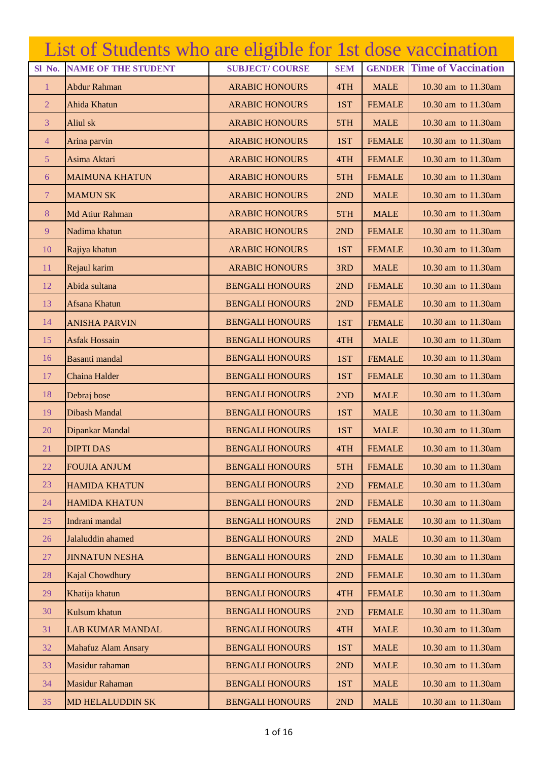|                | List of Students who are eligible for 1st dose vaccination |                        |            |               |                            |
|----------------|------------------------------------------------------------|------------------------|------------|---------------|----------------------------|
| Sl No.         | <b>NAME OF THE STUDENT</b>                                 | <b>SUBJECT/COURSE</b>  | <b>SEM</b> | <b>GENDER</b> | <b>Time of Vaccination</b> |
| 1              | Abdur Rahman                                               | <b>ARABIC HONOURS</b>  | 4TH        | <b>MALE</b>   | 10.30 am to 11.30am        |
| $\overline{2}$ | Ahida Khatun                                               | <b>ARABIC HONOURS</b>  | 1ST        | <b>FEMALE</b> | 10.30 am to 11.30 am       |
| 3              | Aliul sk                                                   | <b>ARABIC HONOURS</b>  | 5TH        | <b>MALE</b>   | 10.30 am to 11.30 am       |
| $\overline{4}$ | Arina parvin                                               | <b>ARABIC HONOURS</b>  | 1ST        | <b>FEMALE</b> | 10.30 am to 11.30am        |
| 5 <sup>5</sup> | Asima Aktari                                               | <b>ARABIC HONOURS</b>  | 4TH        | <b>FEMALE</b> | 10.30 am to 11.30 am       |
| 6              | <b>MAIMUNA KHATUN</b>                                      | <b>ARABIC HONOURS</b>  | 5TH        | <b>FEMALE</b> | 10.30 am to 11.30 am       |
| $\overline{7}$ | <b>MAMUN SK</b>                                            | <b>ARABIC HONOURS</b>  | 2ND        | <b>MALE</b>   | 10.30 am to 11.30am        |
| 8              | Md Atiur Rahman                                            | <b>ARABIC HONOURS</b>  | 5TH        | <b>MALE</b>   | 10.30 am to 11.30am        |
| 9              | Nadima khatun                                              | <b>ARABIC HONOURS</b>  | 2ND        | <b>FEMALE</b> | 10.30 am to 11.30am        |
| 10             | Rajiya khatun                                              | <b>ARABIC HONOURS</b>  | 1ST        | <b>FEMALE</b> | 10.30 am to 11.30am        |
| 11             | Rejaul karim                                               | <b>ARABIC HONOURS</b>  | 3RD        | <b>MALE</b>   | 10.30 am to 11.30am        |
| 12             | Abida sultana                                              | <b>BENGALI HONOURS</b> | 2ND        | <b>FEMALE</b> | 10.30 am to 11.30am        |
| 13             | Afsana Khatun                                              | <b>BENGALI HONOURS</b> | 2ND        | <b>FEMALE</b> | 10.30 am to 11.30am        |
| 14             | <b>ANISHA PARVIN</b>                                       | <b>BENGALI HONOURS</b> | 1ST        | <b>FEMALE</b> | 10.30 am to 11.30am        |
| 15             | <b>Asfak Hossain</b>                                       | <b>BENGALI HONOURS</b> | 4TH        | <b>MALE</b>   | 10.30 am to 11.30am        |
| 16             | Basanti mandal                                             | <b>BENGALI HONOURS</b> | 1ST        | <b>FEMALE</b> | 10.30 am to 11.30am        |
| 17             | Chaina Halder                                              | <b>BENGALI HONOURS</b> | 1ST        | <b>FEMALE</b> | 10.30 am to 11.30am        |
| 18             | Debraj bose                                                | <b>BENGALI HONOURS</b> | 2ND        | <b>MALE</b>   | 10.30 am to 11.30am        |
| 19             | <b>Dibash Mandal</b>                                       | <b>BENGALI HONOURS</b> | 1ST        | <b>MALE</b>   | 10.30 am to 11.30am        |
| 20             | Dipankar Mandal                                            | <b>BENGALI HONOURS</b> | 1ST        | <b>MALE</b>   | 10.30 am to 11.30 am       |
| 21             | <b>DIPTI DAS</b>                                           | <b>BENGALI HONOURS</b> | 4TH        | <b>FEMALE</b> | 10.30 am to 11.30am        |
| 22             | <b>FOUJIA ANJUM</b>                                        | <b>BENGALI HONOURS</b> | 5TH        | <b>FEMALE</b> | 10.30 am to 11.30am        |
| 23             | <b>HAMIDA KHATUN</b>                                       | <b>BENGALI HONOURS</b> | 2ND        | <b>FEMALE</b> | 10.30 am to 11.30am        |
| 24             | <b>HAMIDA KHATUN</b>                                       | <b>BENGALI HONOURS</b> | 2ND        | <b>FEMALE</b> | 10.30 am to 11.30am        |
| 25             | Indrani mandal                                             | <b>BENGALI HONOURS</b> | 2ND        | <b>FEMALE</b> | 10.30 am to 11.30am        |
| 26             | Jalaluddin ahamed                                          | <b>BENGALI HONOURS</b> | 2ND        | <b>MALE</b>   | 10.30 am to 11.30 am       |
| 27             | <b>JINNATUN NESHA</b>                                      | <b>BENGALI HONOURS</b> | 2ND        | <b>FEMALE</b> | 10.30 am to 11.30am        |
| 28             | Kajal Chowdhury                                            | <b>BENGALI HONOURS</b> | 2ND        | <b>FEMALE</b> | 10.30 am to 11.30am        |
| 29             | Khatija khatun                                             | <b>BENGALI HONOURS</b> | 4TH        | <b>FEMALE</b> | 10.30 am to 11.30am        |
| 30             | Kulsum khatun                                              | <b>BENGALI HONOURS</b> | 2ND        | <b>FEMALE</b> | 10.30 am to 11.30am        |
| 31             | <b>LAB KUMAR MANDAL</b>                                    | <b>BENGALI HONOURS</b> | 4TH        | <b>MALE</b>   | 10.30 am to 11.30am        |
| 32             | <b>Mahafuz Alam Ansary</b>                                 | <b>BENGALI HONOURS</b> | 1ST        | <b>MALE</b>   | 10.30 am to 11.30am        |
| 33             | Masidur rahaman                                            | <b>BENGALI HONOURS</b> | 2ND        | <b>MALE</b>   | 10.30 am to 11.30am        |
| 34             | <b>Masidur Rahaman</b>                                     | <b>BENGALI HONOURS</b> | 1ST        | <b>MALE</b>   | 10.30 am to 11.30am        |
| 35             | <b>MD HELALUDDIN SK</b>                                    | <b>BENGALI HONOURS</b> | 2ND        | <b>MALE</b>   | 10.30 am to 11.30am        |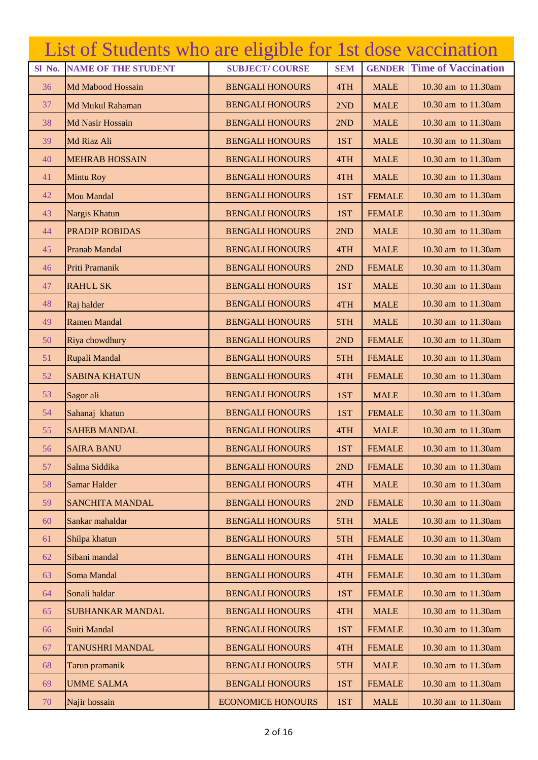|        | List of Students who are eligible for 1st dose vaccination |                          |            |               |                            |
|--------|------------------------------------------------------------|--------------------------|------------|---------------|----------------------------|
| Sl No. | <b>NAME OF THE STUDENT</b>                                 | <b>SUBJECT/COURSE</b>    | <b>SEM</b> | <b>GENDER</b> | <b>Time of Vaccination</b> |
| 36     | Md Mabood Hossain                                          | <b>BENGALI HONOURS</b>   | 4TH        | <b>MALE</b>   | 10.30 am to 11.30am        |
| 37     | Md Mukul Rahaman                                           | <b>BENGALI HONOURS</b>   | 2ND        | <b>MALE</b>   | 10.30 am to 11.30 am       |
| 38     | Md Nasir Hossain                                           | <b>BENGALI HONOURS</b>   | 2ND        | <b>MALE</b>   | 10.30 am to 11.30 am       |
| 39     | Md Riaz Ali                                                | <b>BENGALI HONOURS</b>   | 1ST        | <b>MALE</b>   | 10.30 am to 11.30am        |
| 40     | <b>MEHRAB HOSSAIN</b>                                      | <b>BENGALI HONOURS</b>   | 4TH        | <b>MALE</b>   | 10.30 am to 11.30 am       |
| 41     | <b>Mintu Roy</b>                                           | <b>BENGALI HONOURS</b>   | 4TH        | <b>MALE</b>   | 10.30 am to 11.30 am       |
| 42     | <b>Mou Mandal</b>                                          | <b>BENGALI HONOURS</b>   | 1ST        | <b>FEMALE</b> | 10.30 am to 11.30am        |
| 43     | Nargis Khatun                                              | <b>BENGALI HONOURS</b>   | 1ST        | <b>FEMALE</b> | 10.30 am to 11.30am        |
| 44     | <b>PRADIP ROBIDAS</b>                                      | <b>BENGALI HONOURS</b>   | 2ND        | <b>MALE</b>   | 10.30 am to 11.30 am       |
| 45     | Pranab Mandal                                              | <b>BENGALI HONOURS</b>   | 4TH        | <b>MALE</b>   | 10.30 am to 11.30am        |
| 46     | Priti Pramanik                                             | <b>BENGALI HONOURS</b>   | 2ND        | <b>FEMALE</b> | 10.30 am to 11.30am        |
| 47     | <b>RAHUL SK</b>                                            | <b>BENGALI HONOURS</b>   | 1ST        | <b>MALE</b>   | 10.30 am to 11.30am        |
| 48     | Raj halder                                                 | <b>BENGALI HONOURS</b>   | 4TH        | <b>MALE</b>   | 10.30 am to 11.30am        |
| 49     | <b>Ramen Mandal</b>                                        | <b>BENGALI HONOURS</b>   | 5TH        | <b>MALE</b>   | 10.30 am to 11.30am        |
| 50     | Riya chowdhury                                             | <b>BENGALI HONOURS</b>   | 2ND        | <b>FEMALE</b> | 10.30 am to 11.30am        |
| 51     | Rupali Mandal                                              | <b>BENGALI HONOURS</b>   | 5TH        | <b>FEMALE</b> | 10.30 am to 11.30am        |
| 52     | <b>SABINA KHATUN</b>                                       | <b>BENGALI HONOURS</b>   | 4TH        | <b>FEMALE</b> | 10.30 am to 11.30am        |
| 53     | Sagor ali                                                  | <b>BENGALI HONOURS</b>   | 1ST        | <b>MALE</b>   | 10.30 am to 11.30am        |
| 54     | Sahanaj khatun                                             | <b>BENGALI HONOURS</b>   | 1ST        | <b>FEMALE</b> | 10.30 am to 11.30am        |
| 55     | <b>SAHEB MANDAL</b>                                        | <b>BENGALI HONOURS</b>   | 4TH        | <b>MALE</b>   | 10.30 am to 11.30am        |
| 56     | <b>SAIRA BANU</b>                                          | <b>BENGALI HONOURS</b>   | 1ST        | <b>FEMALE</b> | 10.30 am to 11.30am        |
| 57     | Salma Siddika                                              | <b>BENGALI HONOURS</b>   | 2ND        | <b>FEMALE</b> | 10.30 am to 11.30am        |
| 58     | Samar Halder                                               | <b>BENGALI HONOURS</b>   | 4TH        | <b>MALE</b>   | 10.30 am to 11.30am        |
| 59     | <b>SANCHITA MANDAL</b>                                     | <b>BENGALI HONOURS</b>   | 2ND        | <b>FEMALE</b> | 10.30 am to 11.30am        |
| 60     | Sankar mahaldar                                            | <b>BENGALI HONOURS</b>   | 5TH        | <b>MALE</b>   | 10.30 am to 11.30am        |
| 61     | Shilpa khatun                                              | <b>BENGALI HONOURS</b>   | 5TH        | <b>FEMALE</b> | 10.30 am to 11.30 am       |
| 62     | Sibani mandal                                              | <b>BENGALI HONOURS</b>   | 4TH        | <b>FEMALE</b> | 10.30 am to 11.30am        |
| 63     | Soma Mandal                                                | <b>BENGALI HONOURS</b>   | 4TH        | <b>FEMALE</b> | 10.30 am to 11.30am        |
| 64     | Sonali haldar                                              | <b>BENGALI HONOURS</b>   | 1ST        | <b>FEMALE</b> | 10.30 am to 11.30am        |
| 65     | <b>SUBHANKAR MANDAL</b>                                    | <b>BENGALI HONOURS</b>   | 4TH        | <b>MALE</b>   | 10.30 am to 11.30am        |
| 66     | Suiti Mandal                                               | <b>BENGALI HONOURS</b>   | 1ST        | <b>FEMALE</b> | 10.30 am to 11.30am        |
| 67     | <b>TANUSHRI MANDAL</b>                                     | <b>BENGALI HONOURS</b>   | 4TH        | <b>FEMALE</b> | 10.30 am to 11.30am        |
| 68     | Tarun pramanik                                             | <b>BENGALI HONOURS</b>   | 5TH        | <b>MALE</b>   | 10.30 am to 11.30am        |
| 69     | <b>UMME SALMA</b>                                          | <b>BENGALI HONOURS</b>   | 1ST        | <b>FEMALE</b> | 10.30 am to 11.30 am       |
| 70     | Najir hossain                                              | <b>ECONOMICE HONOURS</b> | 1ST        | <b>MALE</b>   | 10.30 am to 11.30am        |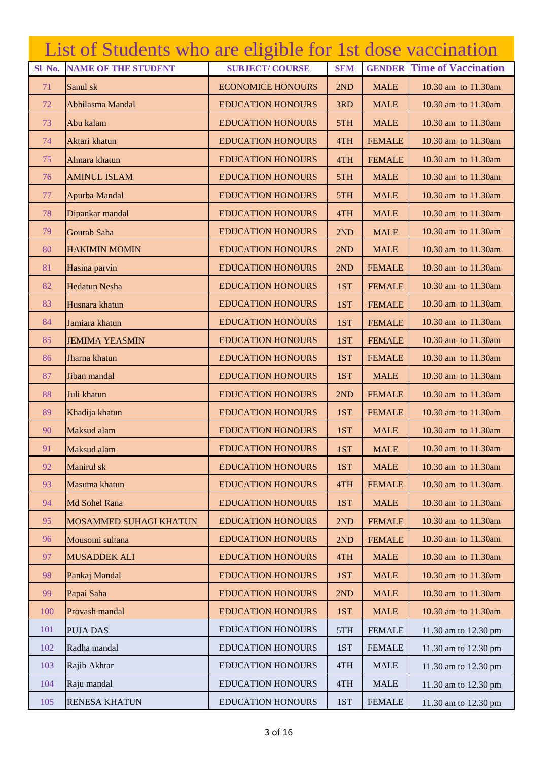|        | List of Students who are eligible for 1st dose vaccination |                          |            |               |                            |
|--------|------------------------------------------------------------|--------------------------|------------|---------------|----------------------------|
| Sl No. | <b>NAME OF THE STUDENT</b>                                 | <b>SUBJECT/COURSE</b>    | <b>SEM</b> | <b>GENDER</b> | <b>Time of Vaccination</b> |
| 71     | Sanul sk                                                   | <b>ECONOMICE HONOURS</b> | 2ND        | <b>MALE</b>   | 10.30 am to 11.30am        |
| 72     | Abhilasma Mandal                                           | <b>EDUCATION HONOURS</b> | 3RD        | <b>MALE</b>   | 10.30 am to 11.30am        |
| 73     | Abu kalam                                                  | <b>EDUCATION HONOURS</b> | 5TH        | <b>MALE</b>   | 10.30 am to 11.30am        |
| 74     | Aktari khatun                                              | <b>EDUCATION HONOURS</b> | 4TH        | <b>FEMALE</b> | 10.30 am to 11.30am        |
| 75     | Almara khatun                                              | <b>EDUCATION HONOURS</b> | 4TH        | <b>FEMALE</b> | 10.30 am to 11.30am        |
| 76     | <b>AMINUL ISLAM</b>                                        | <b>EDUCATION HONOURS</b> | 5TH        | <b>MALE</b>   | 10.30 am to 11.30am        |
| 77     | Apurba Mandal                                              | <b>EDUCATION HONOURS</b> | 5TH        | <b>MALE</b>   | 10.30 am to 11.30am        |
| 78     | Dipankar mandal                                            | <b>EDUCATION HONOURS</b> | 4TH        | <b>MALE</b>   | 10.30 am to 11.30am        |
| 79     | Gourab Saha                                                | <b>EDUCATION HONOURS</b> | 2ND        | <b>MALE</b>   | 10.30 am to 11.30am        |
| 80     | <b>HAKIMIN MOMIN</b>                                       | <b>EDUCATION HONOURS</b> | 2ND        | <b>MALE</b>   | 10.30 am to 11.30 am       |
| 81     | Hasina parvin                                              | <b>EDUCATION HONOURS</b> | 2ND        | <b>FEMALE</b> | 10.30 am to 11.30 am       |
| 82     | <b>Hedatun Nesha</b>                                       | <b>EDUCATION HONOURS</b> | 1ST        | <b>FEMALE</b> | 10.30 am to 11.30am        |
| 83     | Husnara khatun                                             | <b>EDUCATION HONOURS</b> | 1ST        | <b>FEMALE</b> | 10.30 am to 11.30am        |
| 84     | Jamiara khatun                                             | <b>EDUCATION HONOURS</b> | 1ST        | <b>FEMALE</b> | 10.30 am to 11.30am        |
| 85     | <b>JEMIMA YEASMIN</b>                                      | <b>EDUCATION HONOURS</b> | 1ST        | <b>FEMALE</b> | 10.30 am to 11.30 am       |
| 86     | Jharna khatun                                              | <b>EDUCATION HONOURS</b> | 1ST        | <b>FEMALE</b> | 10.30 am to 11.30am        |
| 87     | Jiban mandal                                               | <b>EDUCATION HONOURS</b> | 1ST        | <b>MALE</b>   | 10.30 am to 11.30am        |
| 88     | Juli khatun                                                | <b>EDUCATION HONOURS</b> | 2ND        | <b>FEMALE</b> | 10.30 am to 11.30am        |
| 89     | Khadija khatun                                             | <b>EDUCATION HONOURS</b> | 1ST        | <b>FEMALE</b> | 10.30 am to 11.30am        |
| 90     | Maksud alam                                                | <b>EDUCATION HONOURS</b> | 1ST        | <b>MALE</b>   | 10.30 am to 11.30am        |
| 91     | Maksud alam                                                | <b>EDUCATION HONOURS</b> | 1ST        | <b>MALE</b>   | 10.30 am to 11.30am        |
| 92     | Manirul sk                                                 | <b>EDUCATION HONOURS</b> | 1ST        | <b>MALE</b>   | 10.30 am to 11.30am        |
| 93     | Masuma khatun                                              | <b>EDUCATION HONOURS</b> | 4TH        | <b>FEMALE</b> | 10.30 am to 11.30am        |
| 94     | Md Sohel Rana                                              | <b>EDUCATION HONOURS</b> | 1ST        | <b>MALE</b>   | 10.30 am to 11.30am        |
| 95     | MOSAMMED SUHAGI KHATUN                                     | <b>EDUCATION HONOURS</b> | 2ND        | <b>FEMALE</b> | 10.30 am to 11.30am        |
| 96     | Mousomi sultana                                            | <b>EDUCATION HONOURS</b> | 2ND        | <b>FEMALE</b> | 10.30 am to 11.30am        |
| 97     | <b>MUSADDEK ALI</b>                                        | <b>EDUCATION HONOURS</b> | 4TH        | <b>MALE</b>   | 10.30 am to 11.30am        |
| 98     | Pankaj Mandal                                              | <b>EDUCATION HONOURS</b> | 1ST        | <b>MALE</b>   | 10.30 am to 11.30am        |
| 99     | Papai Saha                                                 | <b>EDUCATION HONOURS</b> | 2ND        | <b>MALE</b>   | 10.30 am to 11.30 am       |
| 100    | Provash mandal                                             | <b>EDUCATION HONOURS</b> | 1ST        | <b>MALE</b>   | 10.30 am to 11.30am        |
| 101    | <b>PUJA DAS</b>                                            | <b>EDUCATION HONOURS</b> | 5TH        | <b>FEMALE</b> | 11.30 am to 12.30 pm       |
| 102    | Radha mandal                                               | <b>EDUCATION HONOURS</b> | 1ST        | <b>FEMALE</b> | 11.30 am to 12.30 pm       |
| 103    | Rajib Akhtar                                               | <b>EDUCATION HONOURS</b> | 4TH        | <b>MALE</b>   | 11.30 am to 12.30 pm       |
| 104    | Raju mandal                                                | <b>EDUCATION HONOURS</b> | 4TH        | <b>MALE</b>   | 11.30 am to 12.30 pm       |
| 105    | <b>RENESA KHATUN</b>                                       | <b>EDUCATION HONOURS</b> | 1ST        | <b>FEMALE</b> | 11.30 am to 12.30 pm       |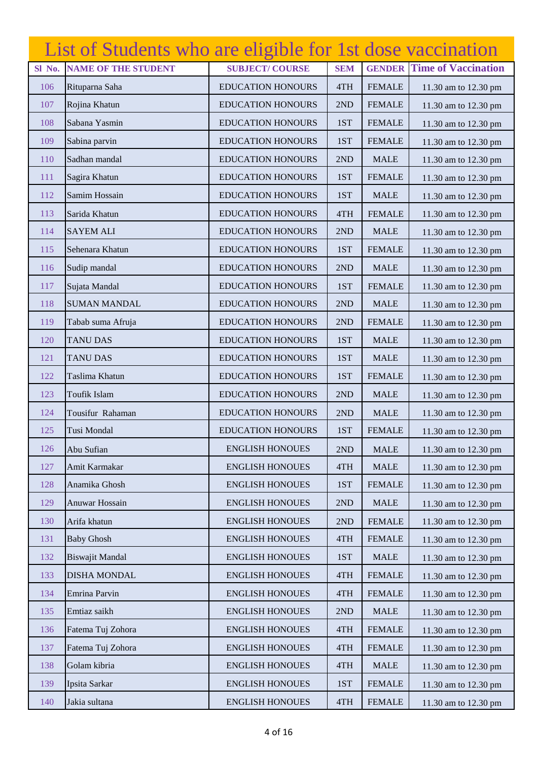|        | List of Students who are eligible for 1st dose vaccination |                          |            |               |                            |
|--------|------------------------------------------------------------|--------------------------|------------|---------------|----------------------------|
| Sl No. | <b>NAME OF THE STUDENT</b>                                 | <b>SUBJECT/COURSE</b>    | <b>SEM</b> | <b>GENDER</b> | <b>Time of Vaccination</b> |
| 106    | Rituparna Saha                                             | <b>EDUCATION HONOURS</b> | 4TH        | <b>FEMALE</b> | 11.30 am to 12.30 pm       |
| 107    | Rojina Khatun                                              | <b>EDUCATION HONOURS</b> | 2ND        | <b>FEMALE</b> | 11.30 am to 12.30 pm       |
| 108    | Sabana Yasmin                                              | <b>EDUCATION HONOURS</b> | 1ST        | <b>FEMALE</b> | 11.30 am to 12.30 pm       |
| 109    | Sabina parvin                                              | <b>EDUCATION HONOURS</b> | 1ST        | <b>FEMALE</b> | 11.30 am to 12.30 pm       |
| 110    | Sadhan mandal                                              | <b>EDUCATION HONOURS</b> | 2ND        | <b>MALE</b>   | 11.30 am to 12.30 pm       |
| 111    | Sagira Khatun                                              | <b>EDUCATION HONOURS</b> | 1ST        | <b>FEMALE</b> | 11.30 am to 12.30 pm       |
| 112    | Samim Hossain                                              | <b>EDUCATION HONOURS</b> | 1ST        | <b>MALE</b>   | 11.30 am to 12.30 pm       |
| 113    | Sarida Khatun                                              | <b>EDUCATION HONOURS</b> | 4TH        | <b>FEMALE</b> | 11.30 am to 12.30 pm       |
| 114    | <b>SAYEM ALI</b>                                           | <b>EDUCATION HONOURS</b> | 2ND        | <b>MALE</b>   | 11.30 am to 12.30 pm       |
| 115    | Sehenara Khatun                                            | <b>EDUCATION HONOURS</b> | 1ST        | <b>FEMALE</b> | 11.30 am to 12.30 pm       |
| 116    | Sudip mandal                                               | <b>EDUCATION HONOURS</b> | 2ND        | <b>MALE</b>   | 11.30 am to 12.30 pm       |
| 117    | Sujata Mandal                                              | <b>EDUCATION HONOURS</b> | 1ST        | <b>FEMALE</b> | 11.30 am to 12.30 pm       |
| 118    | <b>SUMAN MANDAL</b>                                        | <b>EDUCATION HONOURS</b> | 2ND        | <b>MALE</b>   | 11.30 am to 12.30 pm       |
| 119    | Tabab suma Afruja                                          | <b>EDUCATION HONOURS</b> | 2ND        | <b>FEMALE</b> | 11.30 am to 12.30 pm       |
| 120    | <b>TANU DAS</b>                                            | <b>EDUCATION HONOURS</b> | 1ST        | <b>MALE</b>   | 11.30 am to 12.30 pm       |
| 121    | <b>TANU DAS</b>                                            | <b>EDUCATION HONOURS</b> | 1ST        | <b>MALE</b>   | 11.30 am to 12.30 pm       |
| 122    | Taslima Khatun                                             | <b>EDUCATION HONOURS</b> | 1ST        | <b>FEMALE</b> | 11.30 am to 12.30 pm       |
| 123    | Toufik Islam                                               | <b>EDUCATION HONOURS</b> | 2ND        | <b>MALE</b>   | 11.30 am to 12.30 pm       |
| 124    | Tousifur Rahaman                                           | <b>EDUCATION HONOURS</b> | 2ND        | <b>MALE</b>   | 11.30 am to 12.30 pm       |
| 125    | Tusi Mondal                                                | <b>EDUCATION HONOURS</b> | 1ST        | <b>FEMALE</b> | 11.30 am to 12.30 pm       |
| 126    | Abu Sufian                                                 | <b>ENGLISH HONOUES</b>   | 2ND        | <b>MALE</b>   | 11.30 am to 12.30 pm       |
| 127    | Amit Karmakar                                              | <b>ENGLISH HONOUES</b>   | 4TH        | <b>MALE</b>   | 11.30 am to 12.30 pm       |
| 128    | Anamika Ghosh                                              | <b>ENGLISH HONOUES</b>   | 1ST        | <b>FEMALE</b> | 11.30 am to 12.30 pm       |
| 129    | Anuwar Hossain                                             | <b>ENGLISH HONOUES</b>   | 2ND        | <b>MALE</b>   | 11.30 am to 12.30 pm       |
| 130    | Arifa khatun                                               | <b>ENGLISH HONOUES</b>   | 2ND        | <b>FEMALE</b> | 11.30 am to 12.30 pm       |
| 131    | <b>Baby Ghosh</b>                                          | <b>ENGLISH HONOUES</b>   | 4TH        | <b>FEMALE</b> | 11.30 am to 12.30 pm       |
| 132    | <b>Biswajit Mandal</b>                                     | <b>ENGLISH HONOUES</b>   | 1ST        | <b>MALE</b>   | 11.30 am to 12.30 pm       |
| 133    | <b>DISHA MONDAL</b>                                        | <b>ENGLISH HONOUES</b>   | 4TH        | <b>FEMALE</b> | 11.30 am to 12.30 pm       |
| 134    | Emrina Parvin                                              | <b>ENGLISH HONOUES</b>   | 4TH        | <b>FEMALE</b> | 11.30 am to 12.30 pm       |
| 135    | Emtiaz saikh                                               | <b>ENGLISH HONOUES</b>   | 2ND        | <b>MALE</b>   | 11.30 am to 12.30 pm       |
| 136    | Fatema Tuj Zohora                                          | <b>ENGLISH HONOUES</b>   | 4TH        | <b>FEMALE</b> | 11.30 am to 12.30 pm       |
| 137    | Fatema Tuj Zohora                                          | <b>ENGLISH HONOUES</b>   | 4TH        | <b>FEMALE</b> | 11.30 am to 12.30 pm       |
| 138    | Golam kibria                                               | <b>ENGLISH HONOUES</b>   | 4TH        | <b>MALE</b>   | 11.30 am to 12.30 pm       |
| 139    | Ipsita Sarkar                                              | <b>ENGLISH HONOUES</b>   | 1ST        | <b>FEMALE</b> | 11.30 am to 12.30 pm       |
| 140    | Jakia sultana                                              | <b>ENGLISH HONOUES</b>   | 4TH        | <b>FEMALE</b> | 11.30 am to 12.30 pm       |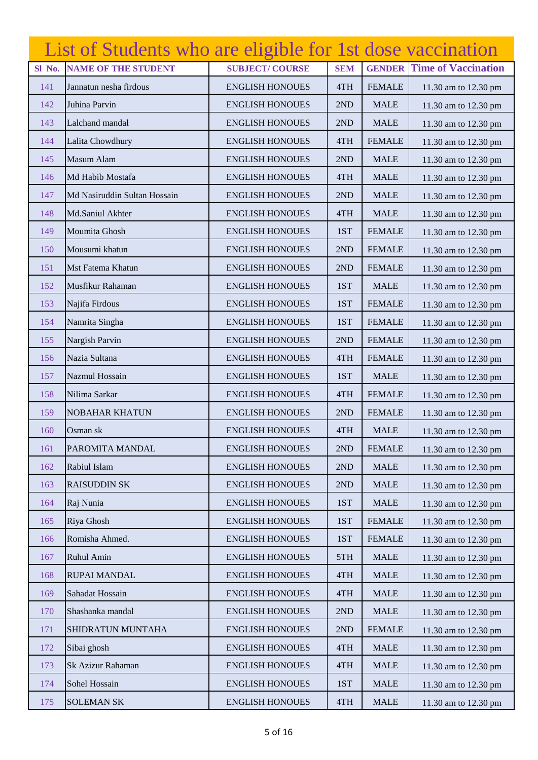|        | List of Students who are eligible for 1st dose vaccination |                        |            |               |                            |
|--------|------------------------------------------------------------|------------------------|------------|---------------|----------------------------|
| Sl No. | <b>NAME OF THE STUDENT</b>                                 | <b>SUBJECT/COURSE</b>  | <b>SEM</b> | <b>GENDER</b> | <b>Time of Vaccination</b> |
| 141    | Jannatun nesha firdous                                     | <b>ENGLISH HONOUES</b> | 4TH        | <b>FEMALE</b> | 11.30 am to 12.30 pm       |
| 142    | Juhina Parvin                                              | <b>ENGLISH HONOUES</b> | 2ND        | <b>MALE</b>   | 11.30 am to 12.30 pm       |
| 143    | Lalchand mandal                                            | <b>ENGLISH HONOUES</b> | 2ND        | <b>MALE</b>   | 11.30 am to 12.30 pm       |
| 144    | Lalita Chowdhury                                           | <b>ENGLISH HONOUES</b> | 4TH        | <b>FEMALE</b> | 11.30 am to 12.30 pm       |
| 145    | Masum Alam                                                 | <b>ENGLISH HONOUES</b> | 2ND        | <b>MALE</b>   | 11.30 am to 12.30 pm       |
| 146    | Md Habib Mostafa                                           | <b>ENGLISH HONOUES</b> | 4TH        | <b>MALE</b>   | 11.30 am to 12.30 pm       |
| 147    | Md Nasiruddin Sultan Hossain                               | <b>ENGLISH HONOUES</b> | 2ND        | <b>MALE</b>   | 11.30 am to 12.30 pm       |
| 148    | Md.Saniul Akhter                                           | <b>ENGLISH HONOUES</b> | 4TH        | <b>MALE</b>   | 11.30 am to 12.30 pm       |
| 149    | Moumita Ghosh                                              | <b>ENGLISH HONOUES</b> | 1ST        | <b>FEMALE</b> | 11.30 am to 12.30 pm       |
| 150    | Mousumi khatun                                             | <b>ENGLISH HONOUES</b> | 2ND        | <b>FEMALE</b> | 11.30 am to 12.30 pm       |
| 151    | Mst Fatema Khatun                                          | <b>ENGLISH HONOUES</b> | 2ND        | <b>FEMALE</b> | 11.30 am to 12.30 pm       |
| 152    | Musfikur Rahaman                                           | <b>ENGLISH HONOUES</b> | 1ST        | <b>MALE</b>   | 11.30 am to 12.30 pm       |
| 153    | Najifa Firdous                                             | <b>ENGLISH HONOUES</b> | 1ST        | <b>FEMALE</b> | 11.30 am to 12.30 pm       |
| 154    | Namrita Singha                                             | <b>ENGLISH HONOUES</b> | 1ST        | <b>FEMALE</b> | 11.30 am to 12.30 pm       |
| 155    | Nargish Parvin                                             | <b>ENGLISH HONOUES</b> | 2ND        | <b>FEMALE</b> | 11.30 am to 12.30 pm       |
| 156    | Nazia Sultana                                              | <b>ENGLISH HONOUES</b> | 4TH        | <b>FEMALE</b> | 11.30 am to 12.30 pm       |
| 157    | Nazmul Hossain                                             | <b>ENGLISH HONOUES</b> | 1ST        | <b>MALE</b>   | 11.30 am to 12.30 pm       |
| 158    | Nilima Sarkar                                              | <b>ENGLISH HONOUES</b> | 4TH        | <b>FEMALE</b> | 11.30 am to 12.30 pm       |
| 159    | <b>NOBAHAR KHATUN</b>                                      | <b>ENGLISH HONOUES</b> | 2ND        | <b>FEMALE</b> | 11.30 am to 12.30 pm       |
| 160    | Osman sk                                                   | <b>ENGLISH HONOUES</b> | 4TH        | <b>MALE</b>   | 11.30 am to 12.30 pm       |
| 161    | PAROMITA MANDAL                                            | <b>ENGLISH HONOUES</b> | 2ND        | <b>FEMALE</b> | 11.30 am to 12.30 pm       |
| 162    | Rabiul Islam                                               | <b>ENGLISH HONOUES</b> | 2ND        | <b>MALE</b>   | 11.30 am to 12.30 pm       |
| 163    | <b>RAISUDDIN SK</b>                                        | <b>ENGLISH HONOUES</b> | 2ND        | <b>MALE</b>   | 11.30 am to 12.30 pm       |
| 164    | Raj Nunia                                                  | <b>ENGLISH HONOUES</b> | 1ST        | <b>MALE</b>   | 11.30 am to 12.30 pm       |
| 165    | Riya Ghosh                                                 | <b>ENGLISH HONOUES</b> | 1ST        | <b>FEMALE</b> | 11.30 am to 12.30 pm       |
| 166    | Romisha Ahmed.                                             | <b>ENGLISH HONOUES</b> | 1ST        | <b>FEMALE</b> | 11.30 am to 12.30 pm       |
| 167    | Ruhul Amin                                                 | <b>ENGLISH HONOUES</b> | 5TH        | <b>MALE</b>   | 11.30 am to 12.30 pm       |
| 168    | <b>RUPAI MANDAL</b>                                        | <b>ENGLISH HONOUES</b> | 4TH        | <b>MALE</b>   | 11.30 am to 12.30 pm       |
| 169    | Sahadat Hossain                                            | <b>ENGLISH HONOUES</b> | 4TH        | <b>MALE</b>   | 11.30 am to 12.30 pm       |
| 170    | Shashanka mandal                                           | <b>ENGLISH HONOUES</b> | 2ND        | <b>MALE</b>   | 11.30 am to 12.30 pm       |
| 171    | SHIDRATUN MUNTAHA                                          | <b>ENGLISH HONOUES</b> | 2ND        | <b>FEMALE</b> | 11.30 am to 12.30 pm       |
| 172    | Sibai ghosh                                                | <b>ENGLISH HONOUES</b> | 4TH        | <b>MALE</b>   | 11.30 am to 12.30 pm       |
| 173    | Sk Azizur Rahaman                                          | <b>ENGLISH HONOUES</b> | 4TH        | <b>MALE</b>   | 11.30 am to 12.30 pm       |
| 174    | Sohel Hossain                                              | <b>ENGLISH HONOUES</b> | 1ST        | <b>MALE</b>   | 11.30 am to 12.30 pm       |
| 175    | <b>SOLEMAN SK</b>                                          | <b>ENGLISH HONOUES</b> | 4TH        | <b>MALE</b>   | 11.30 am to 12.30 pm       |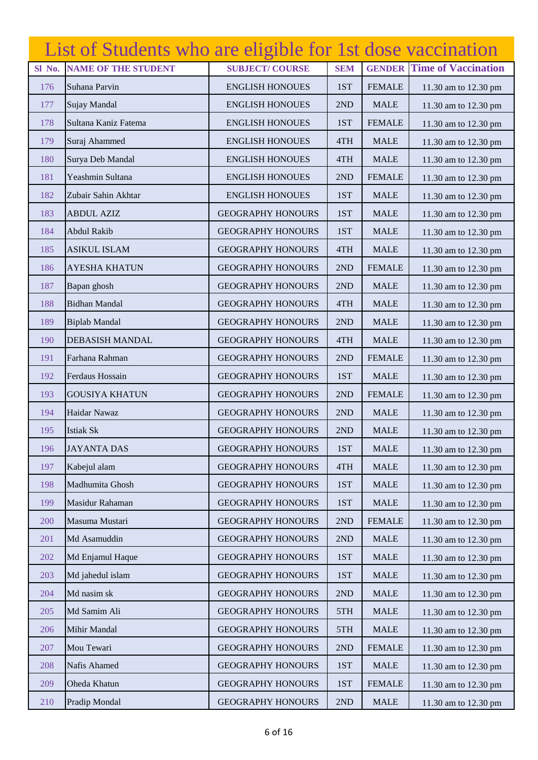|        | List of Students who are eligible for 1st dose vaccination |                          |            |               |                            |
|--------|------------------------------------------------------------|--------------------------|------------|---------------|----------------------------|
| Sl No. | <b>NAME OF THE STUDENT</b>                                 | <b>SUBJECT/COURSE</b>    | <b>SEM</b> | <b>GENDER</b> | <b>Time of Vaccination</b> |
| 176    | Suhana Parvin                                              | <b>ENGLISH HONOUES</b>   | 1ST        | <b>FEMALE</b> | 11.30 am to 12.30 pm       |
| 177    | Sujay Mandal                                               | <b>ENGLISH HONOUES</b>   | 2ND        | <b>MALE</b>   | 11.30 am to 12.30 pm       |
| 178    | Sultana Kaniz Fatema                                       | <b>ENGLISH HONOUES</b>   | 1ST        | <b>FEMALE</b> | 11.30 am to 12.30 pm       |
| 179    | Suraj Ahammed                                              | <b>ENGLISH HONOUES</b>   | 4TH        | <b>MALE</b>   | 11.30 am to 12.30 pm       |
| 180    | Surya Deb Mandal                                           | <b>ENGLISH HONOUES</b>   | 4TH        | <b>MALE</b>   | 11.30 am to 12.30 pm       |
| 181    | Yeashmin Sultana                                           | <b>ENGLISH HONOUES</b>   | 2ND        | <b>FEMALE</b> | 11.30 am to 12.30 pm       |
| 182    | Zubair Sahin Akhtar                                        | <b>ENGLISH HONOUES</b>   | 1ST        | <b>MALE</b>   | 11.30 am to 12.30 pm       |
| 183    | <b>ABDUL AZIZ</b>                                          | <b>GEOGRAPHY HONOURS</b> | 1ST        | <b>MALE</b>   | 11.30 am to 12.30 pm       |
| 184    | <b>Abdul Rakib</b>                                         | <b>GEOGRAPHY HONOURS</b> | 1ST        | <b>MALE</b>   | 11.30 am to 12.30 pm       |
| 185    | <b>ASIKUL ISLAM</b>                                        | <b>GEOGRAPHY HONOURS</b> | 4TH        | <b>MALE</b>   | 11.30 am to 12.30 pm       |
| 186    | <b>AYESHA KHATUN</b>                                       | <b>GEOGRAPHY HONOURS</b> | 2ND        | <b>FEMALE</b> | 11.30 am to 12.30 pm       |
| 187    | Bapan ghosh                                                | <b>GEOGRAPHY HONOURS</b> | 2ND        | <b>MALE</b>   | 11.30 am to 12.30 pm       |
| 188    | <b>Bidhan Mandal</b>                                       | <b>GEOGRAPHY HONOURS</b> | 4TH        | <b>MALE</b>   | 11.30 am to 12.30 pm       |
| 189    | <b>Biplab Mandal</b>                                       | <b>GEOGRAPHY HONOURS</b> | 2ND        | <b>MALE</b>   | 11.30 am to 12.30 pm       |
| 190    | <b>DEBASISH MANDAL</b>                                     | <b>GEOGRAPHY HONOURS</b> | 4TH        | <b>MALE</b>   | 11.30 am to 12.30 pm       |
| 191    | Farhana Rahman                                             | <b>GEOGRAPHY HONOURS</b> | 2ND        | <b>FEMALE</b> | 11.30 am to 12.30 pm       |
| 192    | Ferdaus Hossain                                            | <b>GEOGRAPHY HONOURS</b> | 1ST        | <b>MALE</b>   | 11.30 am to 12.30 pm       |
| 193    | <b>GOUSIYA KHATUN</b>                                      | <b>GEOGRAPHY HONOURS</b> | 2ND        | <b>FEMALE</b> | 11.30 am to 12.30 pm       |
| 194    | Haidar Nawaz                                               | <b>GEOGRAPHY HONOURS</b> | 2ND        | <b>MALE</b>   | 11.30 am to 12.30 pm       |
| 195    | <b>Istiak Sk</b>                                           | <b>GEOGRAPHY HONOURS</b> | 2ND        | <b>MALE</b>   | 11.30 am to 12.30 pm       |
| 196    | <b>JAYANTA DAS</b>                                         | <b>GEOGRAPHY HONOURS</b> | 1ST        | <b>MALE</b>   | 11.30 am to 12.30 pm       |
| 197    | Kabejul alam                                               | <b>GEOGRAPHY HONOURS</b> | 4TH        | <b>MALE</b>   | 11.30 am to 12.30 pm       |
| 198    | Madhumita Ghosh                                            | <b>GEOGRAPHY HONOURS</b> | 1ST        | <b>MALE</b>   | 11.30 am to 12.30 pm       |
| 199    | Masidur Rahaman                                            | <b>GEOGRAPHY HONOURS</b> | 1ST        | <b>MALE</b>   | 11.30 am to 12.30 pm       |
| 200    | Masuma Mustari                                             | <b>GEOGRAPHY HONOURS</b> | 2ND        | <b>FEMALE</b> | 11.30 am to 12.30 pm       |
| 201    | Md Asamuddin                                               | <b>GEOGRAPHY HONOURS</b> | 2ND        | <b>MALE</b>   | 11.30 am to 12.30 pm       |
| 202    | Md Enjamul Haque                                           | <b>GEOGRAPHY HONOURS</b> | 1ST        | <b>MALE</b>   | 11.30 am to 12.30 pm       |
| 203    | Md jahedul islam                                           | <b>GEOGRAPHY HONOURS</b> | 1ST        | <b>MALE</b>   | 11.30 am to 12.30 pm       |
| 204    | Md nasim sk                                                | <b>GEOGRAPHY HONOURS</b> | 2ND        | <b>MALE</b>   | 11.30 am to 12.30 pm       |
| 205    | Md Samim Ali                                               | <b>GEOGRAPHY HONOURS</b> | 5TH        | <b>MALE</b>   | 11.30 am to 12.30 pm       |
| 206    | Mihir Mandal                                               | <b>GEOGRAPHY HONOURS</b> | 5TH        | <b>MALE</b>   | 11.30 am to 12.30 pm       |
| 207    | Mou Tewari                                                 | <b>GEOGRAPHY HONOURS</b> | 2ND        | <b>FEMALE</b> | 11.30 am to 12.30 pm       |
| 208    | Nafis Ahamed                                               | <b>GEOGRAPHY HONOURS</b> | 1ST        | <b>MALE</b>   | 11.30 am to 12.30 pm       |
| 209    | Oheda Khatun                                               | <b>GEOGRAPHY HONOURS</b> | 1ST        | <b>FEMALE</b> | 11.30 am to 12.30 pm       |
| 210    | Pradip Mondal                                              | <b>GEOGRAPHY HONOURS</b> | 2ND        | <b>MALE</b>   | 11.30 am to 12.30 pm       |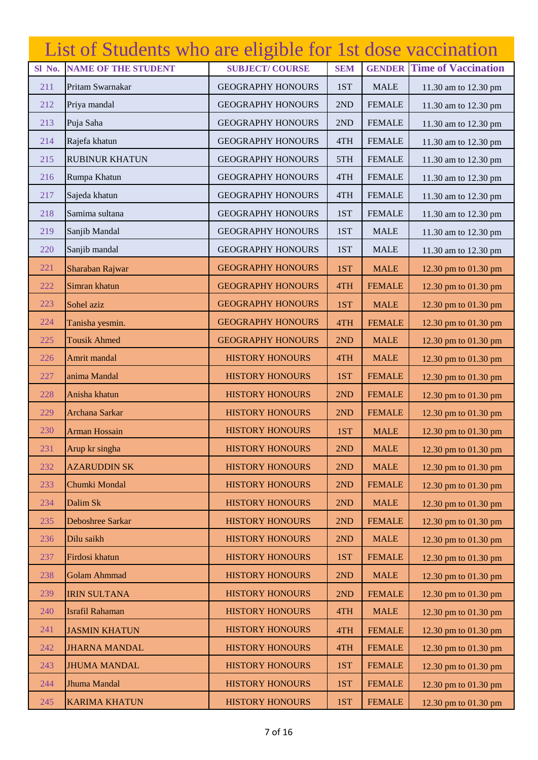|        | List of Students who are eligible for 1st dose vaccination |                          |            |               |                            |
|--------|------------------------------------------------------------|--------------------------|------------|---------------|----------------------------|
| Sl No. | <b>NAME OF THE STUDENT</b>                                 | <b>SUBJECT/COURSE</b>    | <b>SEM</b> | <b>GENDER</b> | <b>Time of Vaccination</b> |
| 211    | Pritam Swarnakar                                           | <b>GEOGRAPHY HONOURS</b> | 1ST        | <b>MALE</b>   | 11.30 am to 12.30 pm       |
| 212    | Priya mandal                                               | <b>GEOGRAPHY HONOURS</b> | 2ND        | <b>FEMALE</b> | 11.30 am to 12.30 pm       |
| 213    | Puja Saha                                                  | <b>GEOGRAPHY HONOURS</b> | 2ND        | <b>FEMALE</b> | 11.30 am to 12.30 pm       |
| 214    | Rajefa khatun                                              | <b>GEOGRAPHY HONOURS</b> | 4TH        | <b>FEMALE</b> | 11.30 am to 12.30 pm       |
| 215    | <b>RUBINUR KHATUN</b>                                      | <b>GEOGRAPHY HONOURS</b> | 5TH        | <b>FEMALE</b> | 11.30 am to 12.30 pm       |
| 216    | Rumpa Khatun                                               | <b>GEOGRAPHY HONOURS</b> | 4TH        | <b>FEMALE</b> | 11.30 am to 12.30 pm       |
| 217    | Sajeda khatun                                              | <b>GEOGRAPHY HONOURS</b> | 4TH        | <b>FEMALE</b> | 11.30 am to 12.30 pm       |
| 218    | Samima sultana                                             | <b>GEOGRAPHY HONOURS</b> | 1ST        | <b>FEMALE</b> | 11.30 am to 12.30 pm       |
| 219    | Sanjib Mandal                                              | <b>GEOGRAPHY HONOURS</b> | 1ST        | <b>MALE</b>   | 11.30 am to 12.30 pm       |
| 220    | Sanjib mandal                                              | <b>GEOGRAPHY HONOURS</b> | 1ST        | <b>MALE</b>   | 11.30 am to 12.30 pm       |
| 221    | Sharaban Rajwar                                            | <b>GEOGRAPHY HONOURS</b> | 1ST        | <b>MALE</b>   | 12.30 pm to 01.30 pm       |
| 222    | Simran khatun                                              | <b>GEOGRAPHY HONOURS</b> | 4TH        | <b>FEMALE</b> | 12.30 pm to 01.30 pm       |
| 223    | Sohel aziz                                                 | <b>GEOGRAPHY HONOURS</b> | 1ST        | <b>MALE</b>   | 12.30 pm to 01.30 pm       |
| 224    | Tanisha yesmin.                                            | <b>GEOGRAPHY HONOURS</b> | 4TH        | <b>FEMALE</b> | 12.30 pm to 01.30 pm       |
| 225    | <b>Tousik Ahmed</b>                                        | <b>GEOGRAPHY HONOURS</b> | 2ND        | <b>MALE</b>   | 12.30 pm to 01.30 pm       |
| 226    | Amrit mandal                                               | <b>HISTORY HONOURS</b>   | 4TH        | <b>MALE</b>   | 12.30 pm to 01.30 pm       |
| 227    | anima Mandal                                               | <b>HISTORY HONOURS</b>   | 1ST        | <b>FEMALE</b> | 12.30 pm to 01.30 pm       |
| 228    | Anisha khatun                                              | <b>HISTORY HONOURS</b>   | 2ND        | <b>FEMALE</b> | 12.30 pm to 01.30 pm       |
| 229    | Archana Sarkar                                             | <b>HISTORY HONOURS</b>   | 2ND        | <b>FEMALE</b> | 12.30 pm to 01.30 pm       |
| 230    | <b>Arman Hossain</b>                                       | <b>HISTORY HONOURS</b>   | 1ST        | <b>MALE</b>   | 12.30 pm to 01.30 pm       |
| 231    | Arup kr singha                                             | <b>HISTORY HONOURS</b>   | 2ND        | <b>MALE</b>   | 12.30 pm to 01.30 pm       |
| 232    | <b>AZARUDDIN SK</b>                                        | <b>HISTORY HONOURS</b>   | 2ND        | <b>MALE</b>   | 12.30 pm to 01.30 pm       |
| 233    | Chumki Mondal                                              | <b>HISTORY HONOURS</b>   | 2ND        | <b>FEMALE</b> | 12.30 pm to 01.30 pm       |
| 234    | Dalim Sk                                                   | <b>HISTORY HONOURS</b>   | 2ND        | <b>MALE</b>   | 12.30 pm to 01.30 pm       |
| 235    | Deboshree Sarkar                                           | <b>HISTORY HONOURS</b>   | 2ND        | <b>FEMALE</b> | 12.30 pm to 01.30 pm       |
| 236    | Dilu saikh                                                 | <b>HISTORY HONOURS</b>   | 2ND        | <b>MALE</b>   | 12.30 pm to 01.30 pm       |
| 237    | Firdosi khatun                                             | <b>HISTORY HONOURS</b>   | 1ST        | <b>FEMALE</b> | 12.30 pm to 01.30 pm       |
| 238    | <b>Golam Ahmmad</b>                                        | <b>HISTORY HONOURS</b>   | 2ND        | <b>MALE</b>   | 12.30 pm to 01.30 pm       |
| 239    | <b>IRIN SULTANA</b>                                        | <b>HISTORY HONOURS</b>   | 2ND        | <b>FEMALE</b> | 12.30 pm to 01.30 pm       |
| 240    | <b>Israfil Rahaman</b>                                     | <b>HISTORY HONOURS</b>   | 4TH        | <b>MALE</b>   | 12.30 pm to 01.30 pm       |
| 241    | <b>JASMIN KHATUN</b>                                       | <b>HISTORY HONOURS</b>   | 4TH        | <b>FEMALE</b> | 12.30 pm to 01.30 pm       |
| 242    | <b>JHARNA MANDAL</b>                                       | <b>HISTORY HONOURS</b>   | 4TH        | <b>FEMALE</b> | 12.30 pm to 01.30 pm       |
| 243    | <b>JHUMA MANDAL</b>                                        | <b>HISTORY HONOURS</b>   | 1ST        | <b>FEMALE</b> | 12.30 pm to 01.30 pm       |
| 244    | Jhuma Mandal                                               | <b>HISTORY HONOURS</b>   | 1ST        | <b>FEMALE</b> | 12.30 pm to 01.30 pm       |
| 245    | <b>KARIMA KHATUN</b>                                       | <b>HISTORY HONOURS</b>   | 1ST        | <b>FEMALE</b> | 12.30 pm to 01.30 pm       |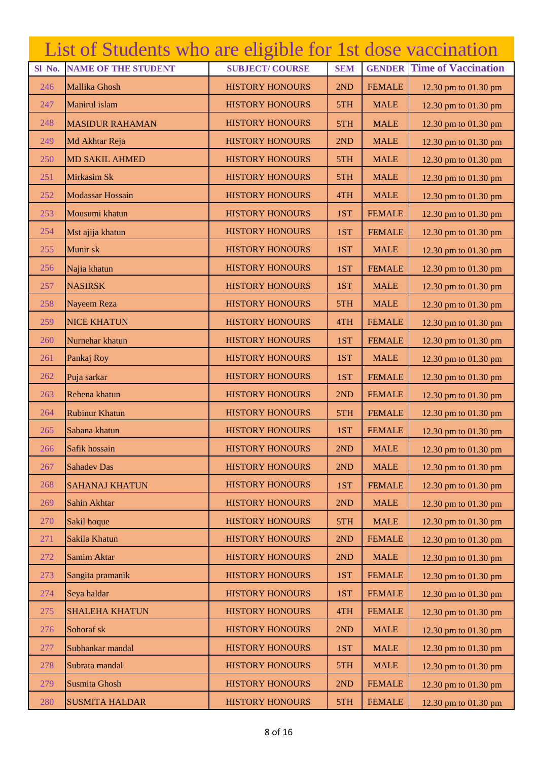|        | List of Students who are eligible for 1st dose vaccination |                        |            |               |                            |
|--------|------------------------------------------------------------|------------------------|------------|---------------|----------------------------|
| Sl No. | <b>NAME OF THE STUDENT</b>                                 | <b>SUBJECT/COURSE</b>  | <b>SEM</b> | <b>GENDER</b> | <b>Time of Vaccination</b> |
| 246    | Mallika Ghosh                                              | <b>HISTORY HONOURS</b> | 2ND        | <b>FEMALE</b> | 12.30 pm to 01.30 pm       |
| 247    | Manirul islam                                              | <b>HISTORY HONOURS</b> | 5TH        | <b>MALE</b>   | 12.30 pm to 01.30 pm       |
| 248    | <b>MASIDUR RAHAMAN</b>                                     | <b>HISTORY HONOURS</b> | 5TH        | <b>MALE</b>   | 12.30 pm to 01.30 pm       |
| 249    | Md Akhtar Reja                                             | <b>HISTORY HONOURS</b> | 2ND        | <b>MALE</b>   | 12.30 pm to 01.30 pm       |
| 250    | <b>MD SAKIL AHMED</b>                                      | <b>HISTORY HONOURS</b> | 5TH        | <b>MALE</b>   | 12.30 pm to 01.30 pm       |
| 251    | Mirkasim Sk                                                | <b>HISTORY HONOURS</b> | 5TH        | <b>MALE</b>   | 12.30 pm to 01.30 pm       |
| 252    | Modassar Hossain                                           | <b>HISTORY HONOURS</b> | 4TH        | <b>MALE</b>   | 12.30 pm to 01.30 pm       |
| 253    | Mousumi khatun                                             | <b>HISTORY HONOURS</b> | 1ST        | <b>FEMALE</b> | 12.30 pm to 01.30 pm       |
| 254    | Mst ajija khatun                                           | <b>HISTORY HONOURS</b> | 1ST        | <b>FEMALE</b> | 12.30 pm to 01.30 pm       |
| 255    | Munir sk                                                   | <b>HISTORY HONOURS</b> | 1ST        | <b>MALE</b>   | 12.30 pm to 01.30 pm       |
| 256    | Najia khatun                                               | <b>HISTORY HONOURS</b> | 1ST        | <b>FEMALE</b> | 12.30 pm to 01.30 pm       |
| 257    | <b>NASIRSK</b>                                             | <b>HISTORY HONOURS</b> | 1ST        | <b>MALE</b>   | 12.30 pm to 01.30 pm       |
| 258    | Nayeem Reza                                                | <b>HISTORY HONOURS</b> | 5TH        | <b>MALE</b>   | 12.30 pm to 01.30 pm       |
| 259    | <b>NICE KHATUN</b>                                         | <b>HISTORY HONOURS</b> | 4TH        | <b>FEMALE</b> | 12.30 pm to 01.30 pm       |
| 260    | Nurnehar khatun                                            | <b>HISTORY HONOURS</b> | 1ST        | <b>FEMALE</b> | 12.30 pm to 01.30 pm       |
| 261    | Pankaj Roy                                                 | <b>HISTORY HONOURS</b> | 1ST        | <b>MALE</b>   | 12.30 pm to 01.30 pm       |
| 262    | Puja sarkar                                                | <b>HISTORY HONOURS</b> | 1ST        | <b>FEMALE</b> | 12.30 pm to 01.30 pm       |
| 263    | Rehena khatun                                              | <b>HISTORY HONOURS</b> | 2ND        | <b>FEMALE</b> | 12.30 pm to 01.30 pm       |
| 264    | <b>Rubinur Khatun</b>                                      | <b>HISTORY HONOURS</b> | 5TH        | <b>FEMALE</b> | 12.30 pm to 01.30 pm       |
| 265    | Sabana khatun                                              | <b>HISTORY HONOURS</b> | 1ST        | <b>FEMALE</b> | 12.30 pm to 01.30 pm       |
| 266    | Safik hossain                                              | <b>HISTORY HONOURS</b> | 2ND        | <b>MALE</b>   | 12.30 pm to 01.30 pm       |
| 267    | <b>Sahadev Das</b>                                         | <b>HISTORY HONOURS</b> | 2ND        | <b>MALE</b>   | 12.30 pm to 01.30 pm       |
| 268    | <b>SAHANAJ KHATUN</b>                                      | <b>HISTORY HONOURS</b> | 1ST        | <b>FEMALE</b> | 12.30 pm to 01.30 pm       |
| 269    | Sahin Akhtar                                               | <b>HISTORY HONOURS</b> | 2ND        | <b>MALE</b>   | 12.30 pm to 01.30 pm       |
| 270    | Sakil hoque                                                | <b>HISTORY HONOURS</b> | 5TH        | <b>MALE</b>   | 12.30 pm to 01.30 pm       |
| 271    | Sakila Khatun                                              | <b>HISTORY HONOURS</b> | 2ND        | <b>FEMALE</b> | 12.30 pm to 01.30 pm       |
| 272    | Samim Aktar                                                | <b>HISTORY HONOURS</b> | 2ND        | <b>MALE</b>   | 12.30 pm to 01.30 pm       |
| 273    | Sangita pramanik                                           | <b>HISTORY HONOURS</b> | 1ST        | <b>FEMALE</b> | 12.30 pm to 01.30 pm       |
| 274    | Seya haldar                                                | <b>HISTORY HONOURS</b> | 1ST        | <b>FEMALE</b> | 12.30 pm to 01.30 pm       |
| 275    | <b>SHALEHA KHATUN</b>                                      | <b>HISTORY HONOURS</b> | 4TH        | <b>FEMALE</b> | 12.30 pm to 01.30 pm       |
| 276    | Sohoraf sk                                                 | <b>HISTORY HONOURS</b> | 2ND        | <b>MALE</b>   | 12.30 pm to 01.30 pm       |
| 277    | Subhankar mandal                                           | <b>HISTORY HONOURS</b> | 1ST        | <b>MALE</b>   | 12.30 pm to 01.30 pm       |
| 278    | Subrata mandal                                             | <b>HISTORY HONOURS</b> | 5TH        | <b>MALE</b>   | 12.30 pm to 01.30 pm       |
| 279    | Susmita Ghosh                                              | <b>HISTORY HONOURS</b> | 2ND        | <b>FEMALE</b> | 12.30 pm to 01.30 pm       |
| 280    | <b>SUSMITA HALDAR</b>                                      | <b>HISTORY HONOURS</b> | 5TH        | <b>FEMALE</b> | 12.30 pm to 01.30 pm       |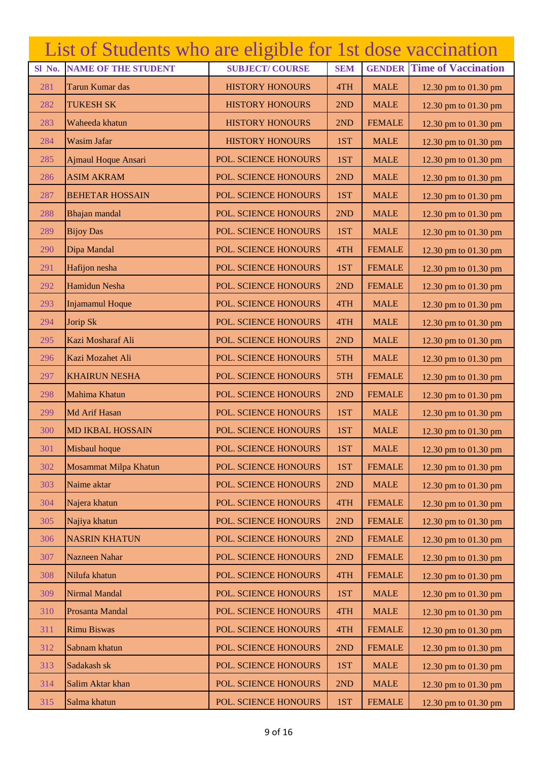|        | List of Students who are eligible for 1st dose vaccination |                        |            |               |                            |
|--------|------------------------------------------------------------|------------------------|------------|---------------|----------------------------|
| Sl No. | <b>NAME OF THE STUDENT</b>                                 | <b>SUBJECT/COURSE</b>  | <b>SEM</b> | <b>GENDER</b> | <b>Time of Vaccination</b> |
| 281    | Tarun Kumar das                                            | <b>HISTORY HONOURS</b> | 4TH        | <b>MALE</b>   | 12.30 pm to 01.30 pm       |
| 282    | <b>TUKESH SK</b>                                           | <b>HISTORY HONOURS</b> | 2ND        | <b>MALE</b>   | 12.30 pm to 01.30 pm       |
| 283    | Waheeda khatun                                             | <b>HISTORY HONOURS</b> | 2ND        | <b>FEMALE</b> | 12.30 pm to 01.30 pm       |
| 284    | Wasim Jafar                                                | <b>HISTORY HONOURS</b> | 1ST        | <b>MALE</b>   | 12.30 pm to 01.30 pm       |
| 285    | Ajmaul Hoque Ansari                                        | POL. SCIENCE HONOURS   | 1ST        | <b>MALE</b>   | 12.30 pm to 01.30 pm       |
| 286    | <b>ASIM AKRAM</b>                                          | POL. SCIENCE HONOURS   | 2ND        | <b>MALE</b>   | 12.30 pm to 01.30 pm       |
| 287    | <b>BEHETAR HOSSAIN</b>                                     | POL. SCIENCE HONOURS   | 1ST        | <b>MALE</b>   | 12.30 pm to 01.30 pm       |
| 288    | Bhajan mandal                                              | POL. SCIENCE HONOURS   | 2ND        | <b>MALE</b>   | 12.30 pm to 01.30 pm       |
| 289    | <b>Bijoy Das</b>                                           | POL. SCIENCE HONOURS   | 1ST        | <b>MALE</b>   | 12.30 pm to 01.30 pm       |
| 290    | Dipa Mandal                                                | POL. SCIENCE HONOURS   | 4TH        | <b>FEMALE</b> | 12.30 pm to 01.30 pm       |
| 291    | Hafijon nesha                                              | POL. SCIENCE HONOURS   | 1ST        | <b>FEMALE</b> | 12.30 pm to 01.30 pm       |
| 292    | Hamidun Nesha                                              | POL. SCIENCE HONOURS   | 2ND        | <b>FEMALE</b> | 12.30 pm to 01.30 pm       |
| 293    | <b>Injamamul Hoque</b>                                     | POL. SCIENCE HONOURS   | 4TH        | <b>MALE</b>   | 12.30 pm to 01.30 pm       |
| 294    | Jorip Sk                                                   | POL. SCIENCE HONOURS   | 4TH        | <b>MALE</b>   | 12.30 pm to 01.30 pm       |
| 295    | Kazi Mosharaf Ali                                          | POL. SCIENCE HONOURS   | 2ND        | <b>MALE</b>   | 12.30 pm to 01.30 pm       |
| 296    | Kazi Mozahet Ali                                           | POL. SCIENCE HONOURS   | 5TH        | <b>MALE</b>   | 12.30 pm to 01.30 pm       |
| 297    | <b>KHAIRUN NESHA</b>                                       | POL. SCIENCE HONOURS   | 5TH        | <b>FEMALE</b> | 12.30 pm to 01.30 pm       |
| 298    | Mahima Khatun                                              | POL. SCIENCE HONOURS   | 2ND        | <b>FEMALE</b> | 12.30 pm to 01.30 pm       |
| 299    | Md Arif Hasan                                              | POL. SCIENCE HONOURS   | 1ST        | <b>MALE</b>   | 12.30 pm to 01.30 pm       |
| 300    | <b>MD IKBAL HOSSAIN</b>                                    | POL. SCIENCE HONOURS   | 1ST        | <b>MALE</b>   | 12.30 pm to 01.30 pm       |
| 301    | Misbaul hoque                                              | POL. SCIENCE HONOURS   | 1ST        | <b>MALE</b>   | 12.30 pm to 01.30 pm       |
| 302    | Mosammat Milpa Khatun                                      | POL. SCIENCE HONOURS   | 1ST        | <b>FEMALE</b> | 12.30 pm to 01.30 pm       |
| 303    | Naime aktar                                                | POL. SCIENCE HONOURS   | 2ND        | <b>MALE</b>   | 12.30 pm to 01.30 pm       |
| 304    | Najera khatun                                              | POL. SCIENCE HONOURS   | 4TH        | <b>FEMALE</b> | 12.30 pm to 01.30 pm       |
| 305    | Najiya khatun                                              | POL. SCIENCE HONOURS   | 2ND        | <b>FEMALE</b> | 12.30 pm to 01.30 pm       |
| 306    | <b>NASRIN KHATUN</b>                                       | POL. SCIENCE HONOURS   | 2ND        | <b>FEMALE</b> | 12.30 pm to 01.30 pm       |
| 307    | Nazneen Nahar                                              | POL. SCIENCE HONOURS   | 2ND        | <b>FEMALE</b> | 12.30 pm to 01.30 pm       |
| 308    | Nilufa khatun                                              | POL. SCIENCE HONOURS   | 4TH        | <b>FEMALE</b> | 12.30 pm to 01.30 pm       |
| 309    | Nirmal Mandal                                              | POL. SCIENCE HONOURS   | 1ST        | <b>MALE</b>   | 12.30 pm to 01.30 pm       |
| 310    | Prosanta Mandal                                            | POL. SCIENCE HONOURS   | 4TH        | <b>MALE</b>   | 12.30 pm to 01.30 pm       |
| 311    | <b>Rimu Biswas</b>                                         | POL. SCIENCE HONOURS   | 4TH        | <b>FEMALE</b> | 12.30 pm to 01.30 pm       |
| 312    | Sabnam khatun                                              | POL. SCIENCE HONOURS   | 2ND        | <b>FEMALE</b> | 12.30 pm to 01.30 pm       |
| 313    | Sadakash sk                                                | POL. SCIENCE HONOURS   | 1ST        | <b>MALE</b>   | 12.30 pm to 01.30 pm       |
| 314    | Salim Aktar khan                                           | POL. SCIENCE HONOURS   | 2ND        | <b>MALE</b>   | 12.30 pm to 01.30 pm       |
| 315    | Salma khatun                                               | POL. SCIENCE HONOURS   | 1ST        | <b>FEMALE</b> | 12.30 pm to 01.30 pm       |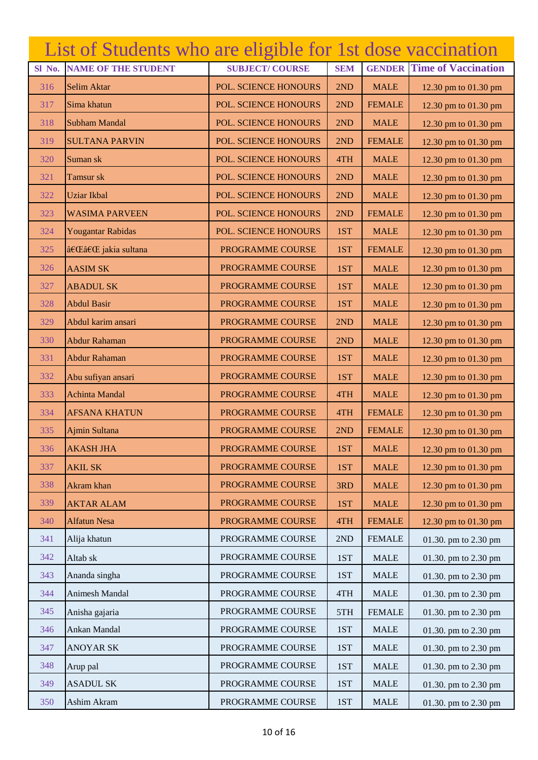|        | List of Students who are eligible for 1st dose vaccination |                       |            |               |                            |
|--------|------------------------------------------------------------|-----------------------|------------|---------------|----------------------------|
| Sl No. | <b>NAME OF THE STUDENT</b>                                 | <b>SUBJECT/COURSE</b> | <b>SEM</b> | <b>GENDER</b> | <b>Time of Vaccination</b> |
| 316    | Selim Aktar                                                | POL. SCIENCE HONOURS  | 2ND        | <b>MALE</b>   | 12.30 pm to 01.30 pm       |
| 317    | Sima khatun                                                | POL. SCIENCE HONOURS  | 2ND        | <b>FEMALE</b> | 12.30 pm to 01.30 pm       |
| 318    | <b>Subham Mandal</b>                                       | POL. SCIENCE HONOURS  | 2ND        | <b>MALE</b>   | 12.30 pm to 01.30 pm       |
| 319    | <b>SULTANA PARVIN</b>                                      | POL. SCIENCE HONOURS  | 2ND        | <b>FEMALE</b> | 12.30 pm to 01.30 pm       |
| 320    | Suman sk                                                   | POL. SCIENCE HONOURS  | 4TH        | <b>MALE</b>   | 12.30 pm to 01.30 pm       |
| 321    | Tamsur sk                                                  | POL. SCIENCE HONOURS  | 2ND        | <b>MALE</b>   | 12.30 pm to 01.30 pm       |
| 322    | <b>Uziar Ikbal</b>                                         | POL. SCIENCE HONOURS  | 2ND        | <b>MALE</b>   | 12.30 pm to 01.30 pm       |
| 323    | <b>WASIMA PARVEEN</b>                                      | POL. SCIENCE HONOURS  | 2ND        | <b>FEMALE</b> | 12.30 pm to 01.30 pm       |
| 324    | Yougantar Rabidas                                          | POL. SCIENCE HONOURS  | 1ST        | <b>MALE</b>   | 12.30 pm to 01.30 pm       |
| 325    | ‌‌ jakia sultana                                           | PROGRAMME COURSE      | 1ST        | <b>FEMALE</b> | 12.30 pm to 01.30 pm       |
| 326    | <b>AASIM SK</b>                                            | PROGRAMME COURSE      | 1ST        | <b>MALE</b>   | 12.30 pm to 01.30 pm       |
| 327    | <b>ABADUL SK</b>                                           | PROGRAMME COURSE      | 1ST        | <b>MALE</b>   | 12.30 pm to 01.30 pm       |
| 328    | <b>Abdul Basir</b>                                         | PROGRAMME COURSE      | 1ST        | <b>MALE</b>   | 12.30 pm to 01.30 pm       |
| 329    | Abdul karim ansari                                         | PROGRAMME COURSE      | 2ND        | <b>MALE</b>   | 12.30 pm to 01.30 pm       |
| 330    | Abdur Rahaman                                              | PROGRAMME COURSE      | 2ND        | <b>MALE</b>   | 12.30 pm to 01.30 pm       |
| 331    | Abdur Rahaman                                              | PROGRAMME COURSE      | 1ST        | <b>MALE</b>   | 12.30 pm to 01.30 pm       |
| 332    | Abu sufiyan ansari                                         | PROGRAMME COURSE      | 1ST        | <b>MALE</b>   | 12.30 pm to 01.30 pm       |
| 333    | <b>Achinta Mandal</b>                                      | PROGRAMME COURSE      | 4TH        | <b>MALE</b>   | 12.30 pm to 01.30 pm       |
| 334    | <b>AFSANA KHATUN</b>                                       | PROGRAMME COURSE      | 4TH        | <b>FEMALE</b> | 12.30 pm to 01.30 pm       |
| 335    | Ajmin Sultana                                              | PROGRAMME COURSE      | 2ND        | <b>FEMALE</b> | 12.30 pm to 01.30 pm       |
| 336    | <b>AKASH JHA</b>                                           | PROGRAMME COURSE      | 1ST        | <b>MALE</b>   | 12.30 pm to 01.30 pm       |
| 337    | <b>AKIL SK</b>                                             | PROGRAMME COURSE      | 1ST        | <b>MALE</b>   | 12.30 pm to 01.30 pm       |
| 338    | Akram khan                                                 | PROGRAMME COURSE      | 3RD        | <b>MALE</b>   | 12.30 pm to 01.30 pm       |
| 339    | <b>AKTAR ALAM</b>                                          | PROGRAMME COURSE      | 1ST        | <b>MALE</b>   | 12.30 pm to 01.30 pm       |
| 340    | <b>Alfatun Nesa</b>                                        | PROGRAMME COURSE      | 4TH        | <b>FEMALE</b> | 12.30 pm to 01.30 pm       |
| 341    | Alija khatun                                               | PROGRAMME COURSE      | 2ND        | <b>FEMALE</b> | 01.30. pm to 2.30 pm       |
| 342    | Altab sk                                                   | PROGRAMME COURSE      | 1ST        | <b>MALE</b>   | 01.30. pm to 2.30 pm       |
| 343    | Ananda singha                                              | PROGRAMME COURSE      | 1ST        | <b>MALE</b>   | 01.30. pm to 2.30 pm       |
| 344    | Animesh Mandal                                             | PROGRAMME COURSE      | 4TH        | <b>MALE</b>   | 01.30. pm to 2.30 pm       |
| 345    | Anisha gajaria                                             | PROGRAMME COURSE      | 5TH        | <b>FEMALE</b> | 01.30. pm to 2.30 pm       |
| 346    | Ankan Mandal                                               | PROGRAMME COURSE      | 1ST        | <b>MALE</b>   | 01.30. pm to 2.30 pm       |
| 347    | <b>ANOYAR SK</b>                                           | PROGRAMME COURSE      | 1ST        | <b>MALE</b>   | 01.30. pm to 2.30 pm       |
| 348    | Arup pal                                                   | PROGRAMME COURSE      | 1ST        | <b>MALE</b>   | 01.30. pm to 2.30 pm       |
| 349    | <b>ASADUL SK</b>                                           | PROGRAMME COURSE      | 1ST        | <b>MALE</b>   | 01.30. pm to 2.30 pm       |
| 350    | Ashim Akram                                                | PROGRAMME COURSE      | 1ST        | <b>MALE</b>   | 01.30. pm to 2.30 pm       |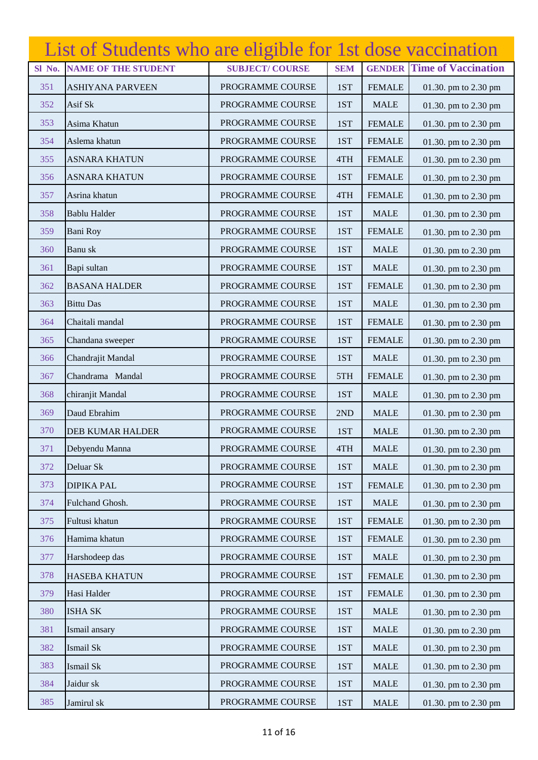|        | List of Students who are eligible for 1st dose vaccination |                       |            |               |                            |
|--------|------------------------------------------------------------|-----------------------|------------|---------------|----------------------------|
| Sl No. | <b>NAME OF THE STUDENT</b>                                 | <b>SUBJECT/COURSE</b> | <b>SEM</b> | <b>GENDER</b> | <b>Time of Vaccination</b> |
| 351    | <b>ASHIYANA PARVEEN</b>                                    | PROGRAMME COURSE      | 1ST        | <b>FEMALE</b> | 01.30. pm to 2.30 pm       |
| 352    | Asif Sk                                                    | PROGRAMME COURSE      | 1ST        | <b>MALE</b>   | 01.30. pm to 2.30 pm       |
| 353    | Asima Khatun                                               | PROGRAMME COURSE      | 1ST        | <b>FEMALE</b> | 01.30. pm to 2.30 pm       |
| 354    | Aslema khatun                                              | PROGRAMME COURSE      | 1ST        | <b>FEMALE</b> | 01.30. pm to 2.30 pm       |
| 355    | <b>ASNARA KHATUN</b>                                       | PROGRAMME COURSE      | 4TH        | <b>FEMALE</b> | 01.30. pm to 2.30 pm       |
| 356    | <b>ASNARA KHATUN</b>                                       | PROGRAMME COURSE      | 1ST        | <b>FEMALE</b> | 01.30. pm to 2.30 pm       |
| 357    | Asrina khatun                                              | PROGRAMME COURSE      | 4TH        | <b>FEMALE</b> | 01.30. pm to 2.30 pm       |
| 358    | <b>Bablu Halder</b>                                        | PROGRAMME COURSE      | 1ST        | <b>MALE</b>   | 01.30. pm to 2.30 pm       |
| 359    | <b>Bani Roy</b>                                            | PROGRAMME COURSE      | 1ST        | <b>FEMALE</b> | 01.30. pm to 2.30 pm       |
| 360    | Banu sk                                                    | PROGRAMME COURSE      | 1ST        | <b>MALE</b>   | 01.30. pm to 2.30 pm       |
| 361    | Bapi sultan                                                | PROGRAMME COURSE      | 1ST        | <b>MALE</b>   | 01.30. pm to 2.30 pm       |
| 362    | <b>BASANA HALDER</b>                                       | PROGRAMME COURSE      | 1ST        | <b>FEMALE</b> | 01.30. pm to 2.30 pm       |
| 363    | <b>Bittu Das</b>                                           | PROGRAMME COURSE      | 1ST        | <b>MALE</b>   | 01.30. pm to 2.30 pm       |
| 364    | Chaitali mandal                                            | PROGRAMME COURSE      | 1ST        | <b>FEMALE</b> | 01.30. pm to 2.30 pm       |
| 365    | Chandana sweeper                                           | PROGRAMME COURSE      | 1ST        | <b>FEMALE</b> | 01.30. pm to 2.30 pm       |
| 366    | Chandrajit Mandal                                          | PROGRAMME COURSE      | 1ST        | <b>MALE</b>   | 01.30. pm to 2.30 pm       |
| 367    | Chandrama Mandal                                           | PROGRAMME COURSE      | 5TH        | <b>FEMALE</b> | 01.30. pm to 2.30 pm       |
| 368    | chiranjit Mandal                                           | PROGRAMME COURSE      | 1ST        | <b>MALE</b>   | 01.30. pm to 2.30 pm       |
| 369    | Daud Ebrahim                                               | PROGRAMME COURSE      | 2ND        | <b>MALE</b>   | 01.30. pm to 2.30 pm       |
| 370    | <b>DEB KUMAR HALDER</b>                                    | PROGRAMME COURSE      | 1ST        | <b>MALE</b>   | 01.30. pm to 2.30 pm       |
| 371    | Debyendu Manna                                             | PROGRAMME COURSE      | 4TH        | <b>MALE</b>   | 01.30. pm to 2.30 pm       |
| 372    | Deluar Sk                                                  | PROGRAMME COURSE      | 1ST        | <b>MALE</b>   | 01.30. pm to 2.30 pm       |
| 373    | <b>DIPIKA PAL</b>                                          | PROGRAMME COURSE      | 1ST        | <b>FEMALE</b> | 01.30. pm to 2.30 pm       |
| 374    | Fulchand Ghosh.                                            | PROGRAMME COURSE      | 1ST        | <b>MALE</b>   | 01.30. pm to 2.30 pm       |
| 375    | Fultusi khatun                                             | PROGRAMME COURSE      | 1ST        | <b>FEMALE</b> | 01.30. pm to 2.30 pm       |
| 376    | Hamima khatun                                              | PROGRAMME COURSE      | 1ST        | <b>FEMALE</b> | 01.30. pm to 2.30 pm       |
| 377    | Harshodeep das                                             | PROGRAMME COURSE      | 1ST        | <b>MALE</b>   | 01.30. pm to 2.30 pm       |
| 378    | <b>HASEBA KHATUN</b>                                       | PROGRAMME COURSE      | 1ST        | <b>FEMALE</b> | 01.30. pm to 2.30 pm       |
| 379    | Hasi Halder                                                | PROGRAMME COURSE      | 1ST        | <b>FEMALE</b> | 01.30. pm to 2.30 pm       |
| 380    | <b>ISHA SK</b>                                             | PROGRAMME COURSE      | 1ST        | <b>MALE</b>   | 01.30. pm to 2.30 pm       |
| 381    | Ismail ansary                                              | PROGRAMME COURSE      | 1ST        | <b>MALE</b>   | 01.30. pm to 2.30 pm       |
| 382    | Ismail Sk                                                  | PROGRAMME COURSE      | 1ST        | <b>MALE</b>   | 01.30. pm to 2.30 pm       |
| 383    | Ismail Sk                                                  | PROGRAMME COURSE      | 1ST        | <b>MALE</b>   | 01.30. pm to 2.30 pm       |
| 384    | Jaidur sk                                                  | PROGRAMME COURSE      | 1ST        | <b>MALE</b>   | 01.30. pm to 2.30 pm       |
| 385    | Jamirul sk                                                 | PROGRAMME COURSE      | 1ST        | <b>MALE</b>   | 01.30. pm to 2.30 pm       |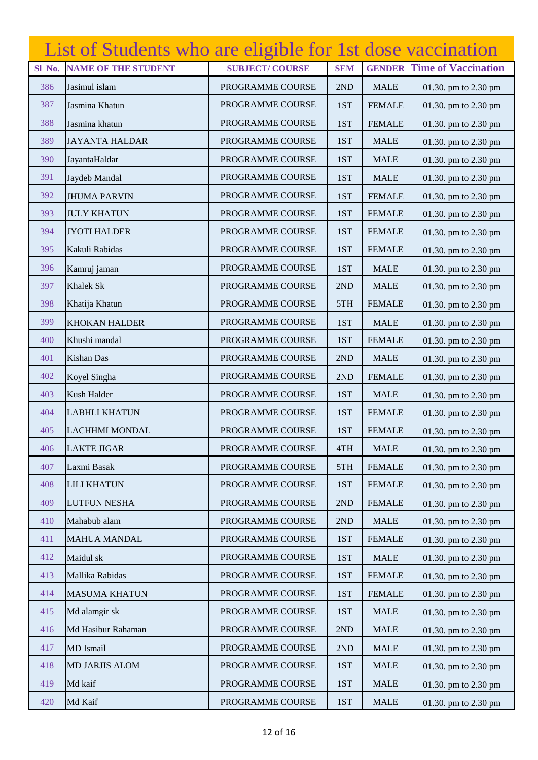|        | List of Students who are eligible for 1st dose vaccination |                       |            |               |                            |
|--------|------------------------------------------------------------|-----------------------|------------|---------------|----------------------------|
| Sl No. | <b>NAME OF THE STUDENT</b>                                 | <b>SUBJECT/COURSE</b> | <b>SEM</b> | <b>GENDER</b> | <b>Time of Vaccination</b> |
| 386    | Jasimul islam                                              | PROGRAMME COURSE      | 2ND        | <b>MALE</b>   | 01.30. pm to 2.30 pm       |
| 387    | Jasmina Khatun                                             | PROGRAMME COURSE      | 1ST        | <b>FEMALE</b> | 01.30. pm to 2.30 pm       |
| 388    | Jasmina khatun                                             | PROGRAMME COURSE      | 1ST        | <b>FEMALE</b> | 01.30. pm to 2.30 pm       |
| 389    | <b>JAYANTA HALDAR</b>                                      | PROGRAMME COURSE      | 1ST        | <b>MALE</b>   | 01.30. pm to 2.30 pm       |
| 390    | JayantaHaldar                                              | PROGRAMME COURSE      | 1ST        | <b>MALE</b>   | 01.30. pm to 2.30 pm       |
| 391    | Jaydeb Mandal                                              | PROGRAMME COURSE      | 1ST        | <b>MALE</b>   | 01.30. pm to 2.30 pm       |
| 392    | <b>JHUMA PARVIN</b>                                        | PROGRAMME COURSE      | 1ST        | <b>FEMALE</b> | 01.30. pm to 2.30 pm       |
| 393    | <b>JULY KHATUN</b>                                         | PROGRAMME COURSE      | 1ST        | <b>FEMALE</b> | 01.30. pm to 2.30 pm       |
| 394    | <b>JYOTI HALDER</b>                                        | PROGRAMME COURSE      | 1ST        | <b>FEMALE</b> | 01.30. pm to 2.30 pm       |
| 395    | Kakuli Rabidas                                             | PROGRAMME COURSE      | 1ST        | <b>FEMALE</b> | 01.30. pm to 2.30 pm       |
| 396    | Kamruj jaman                                               | PROGRAMME COURSE      | 1ST        | <b>MALE</b>   | 01.30. pm to 2.30 pm       |
| 397    | <b>Khalek Sk</b>                                           | PROGRAMME COURSE      | 2ND        | <b>MALE</b>   | 01.30. pm to 2.30 pm       |
| 398    | Khatija Khatun                                             | PROGRAMME COURSE      | 5TH        | <b>FEMALE</b> | 01.30. pm to 2.30 pm       |
| 399    | <b>KHOKAN HALDER</b>                                       | PROGRAMME COURSE      | 1ST        | <b>MALE</b>   | 01.30. pm to 2.30 pm       |
| 400    | Khushi mandal                                              | PROGRAMME COURSE      | 1ST        | <b>FEMALE</b> | 01.30. pm to 2.30 pm       |
| 401    | <b>Kishan Das</b>                                          | PROGRAMME COURSE      | 2ND        | <b>MALE</b>   | 01.30. pm to 2.30 pm       |
| 402    | Koyel Singha                                               | PROGRAMME COURSE      | 2ND        | <b>FEMALE</b> | 01.30. pm to 2.30 pm       |
| 403    | Kush Halder                                                | PROGRAMME COURSE      | 1ST        | <b>MALE</b>   | 01.30. pm to 2.30 pm       |
| 404    | <b>LABHLI KHATUN</b>                                       | PROGRAMME COURSE      | 1ST        | <b>FEMALE</b> | 01.30. pm to 2.30 pm       |
| 405    | <b>LACHHMI MONDAL</b>                                      | PROGRAMME COURSE      | 1ST        | <b>FEMALE</b> | 01.30. pm to 2.30 pm       |
| 406    | <b>LAKTE JIGAR</b>                                         | PROGRAMME COURSE      | 4TH        | <b>MALE</b>   | 01.30. pm to 2.30 pm       |
| 407    | Laxmi Basak                                                | PROGRAMME COURSE      | 5TH        | <b>FEMALE</b> | 01.30. pm to 2.30 pm       |
| 408    | <b>LILI KHATUN</b>                                         | PROGRAMME COURSE      | 1ST        | <b>FEMALE</b> | 01.30. pm to 2.30 pm       |
| 409    | <b>LUTFUN NESHA</b>                                        | PROGRAMME COURSE      | 2ND        | <b>FEMALE</b> | 01.30. pm to 2.30 pm       |
| 410    | Mahabub alam                                               | PROGRAMME COURSE      | 2ND        | <b>MALE</b>   | 01.30. pm to 2.30 pm       |
| 411    | <b>MAHUA MANDAL</b>                                        | PROGRAMME COURSE      | 1ST        | <b>FEMALE</b> | 01.30. pm to 2.30 pm       |
| 412    | Maidul sk                                                  | PROGRAMME COURSE      | 1ST        | <b>MALE</b>   | 01.30. pm to 2.30 pm       |
| 413    | Mallika Rabidas                                            | PROGRAMME COURSE      | 1ST        | <b>FEMALE</b> | 01.30. pm to 2.30 pm       |
| 414    | <b>MASUMA KHATUN</b>                                       | PROGRAMME COURSE      | 1ST        | <b>FEMALE</b> | 01.30. pm to 2.30 pm       |
| 415    | Md alamgir sk                                              | PROGRAMME COURSE      | 1ST        | <b>MALE</b>   | 01.30. pm to 2.30 pm       |
| 416    | Md Hasibur Rahaman                                         | PROGRAMME COURSE      | 2ND        | <b>MALE</b>   | 01.30. pm to 2.30 pm       |
| 417    | MD Ismail                                                  | PROGRAMME COURSE      | 2ND        | <b>MALE</b>   | 01.30. pm to 2.30 pm       |
| 418    | MD JARJIS ALOM                                             | PROGRAMME COURSE      | 1ST        | <b>MALE</b>   | 01.30. pm to 2.30 pm       |
| 419    | Md kaif                                                    | PROGRAMME COURSE      | 1ST        | <b>MALE</b>   | 01.30. pm to 2.30 pm       |
| 420    | Md Kaif                                                    | PROGRAMME COURSE      | 1ST        | <b>MALE</b>   | 01.30. pm to 2.30 pm       |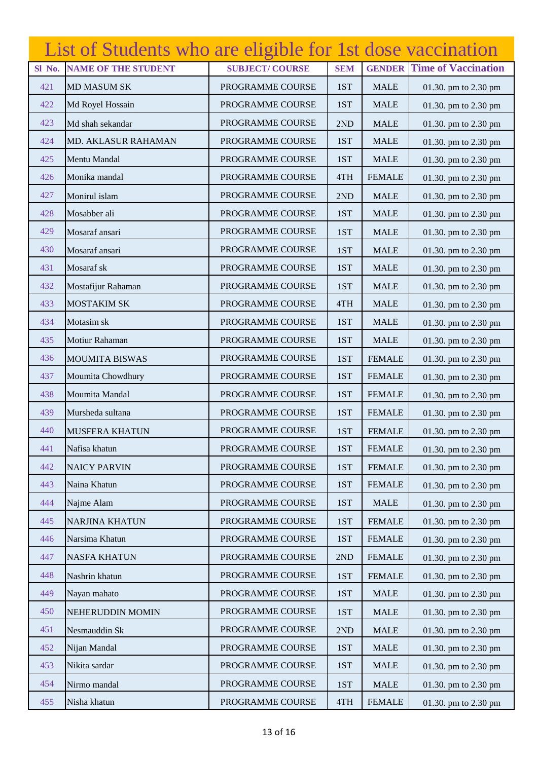|        | List of Students who are eligible for 1st dose vaccination |                       |            |               |                            |
|--------|------------------------------------------------------------|-----------------------|------------|---------------|----------------------------|
| Sl No. | <b>NAME OF THE STUDENT</b>                                 | <b>SUBJECT/COURSE</b> | <b>SEM</b> | <b>GENDER</b> | <b>Time of Vaccination</b> |
| 421    | <b>MD MASUM SK</b>                                         | PROGRAMME COURSE      | 1ST        | <b>MALE</b>   | 01.30. pm to 2.30 pm       |
| 422    | Md Royel Hossain                                           | PROGRAMME COURSE      | 1ST        | <b>MALE</b>   | 01.30. pm to 2.30 pm       |
| 423    | Md shah sekandar                                           | PROGRAMME COURSE      | 2ND        | <b>MALE</b>   | 01.30. pm to 2.30 pm       |
| 424    | <b>MD. AKLASUR RAHAMAN</b>                                 | PROGRAMME COURSE      | 1ST        | <b>MALE</b>   | 01.30. pm to 2.30 pm       |
| 425    | Mentu Mandal                                               | PROGRAMME COURSE      | 1ST        | <b>MALE</b>   | 01.30. pm to 2.30 pm       |
| 426    | Monika mandal                                              | PROGRAMME COURSE      | 4TH        | <b>FEMALE</b> | 01.30. pm to 2.30 pm       |
| 427    | Monirul islam                                              | PROGRAMME COURSE      | 2ND        | <b>MALE</b>   | 01.30. pm to 2.30 pm       |
| 428    | Mosabber ali                                               | PROGRAMME COURSE      | 1ST        | <b>MALE</b>   | 01.30. pm to 2.30 pm       |
| 429    | Mosaraf ansari                                             | PROGRAMME COURSE      | 1ST        | <b>MALE</b>   | 01.30. pm to 2.30 pm       |
| 430    | Mosaraf ansari                                             | PROGRAMME COURSE      | 1ST        | <b>MALE</b>   | 01.30. pm to 2.30 pm       |
| 431    | Mosaraf sk                                                 | PROGRAMME COURSE      | 1ST        | <b>MALE</b>   | 01.30. pm to 2.30 pm       |
| 432    | Mostafijur Rahaman                                         | PROGRAMME COURSE      | 1ST        | <b>MALE</b>   | 01.30. pm to 2.30 pm       |
| 433    | <b>MOSTAKIM SK</b>                                         | PROGRAMME COURSE      | 4TH        | <b>MALE</b>   | 01.30. pm to 2.30 pm       |
| 434    | Motasim sk                                                 | PROGRAMME COURSE      | 1ST        | <b>MALE</b>   | 01.30. pm to 2.30 pm       |
| 435    | Motiur Rahaman                                             | PROGRAMME COURSE      | 1ST        | <b>MALE</b>   | 01.30. pm to 2.30 pm       |
| 436    | <b>MOUMITA BISWAS</b>                                      | PROGRAMME COURSE      | 1ST        | <b>FEMALE</b> | 01.30. pm to 2.30 pm       |
| 437    | Moumita Chowdhury                                          | PROGRAMME COURSE      | 1ST        | <b>FEMALE</b> | 01.30. pm to 2.30 pm       |
| 438    | Moumita Mandal                                             | PROGRAMME COURSE      | 1ST        | <b>FEMALE</b> | 01.30. pm to 2.30 pm       |
| 439    | Mursheda sultana                                           | PROGRAMME COURSE      | 1ST        | <b>FEMALE</b> | 01.30. pm to 2.30 pm       |
| 440    | <b>MUSFERA KHATUN</b>                                      | PROGRAMME COURSE      | 1ST        | <b>FEMALE</b> | 01.30. pm to 2.30 pm       |
| 441    | Nafisa khatun                                              | PROGRAMME COURSE      | 1ST        | <b>FEMALE</b> | 01.30. pm to 2.30 pm       |
| 442    | <b>NAICY PARVIN</b>                                        | PROGRAMME COURSE      | 1ST        | <b>FEMALE</b> | 01.30. pm to 2.30 pm       |
| 443    | Naina Khatun                                               | PROGRAMME COURSE      | 1ST        | <b>FEMALE</b> | 01.30. pm to 2.30 pm       |
| 444    | Najme Alam                                                 | PROGRAMME COURSE      | 1ST        | <b>MALE</b>   | 01.30. pm to 2.30 pm       |
| 445    | <b>NARJINA KHATUN</b>                                      | PROGRAMME COURSE      | 1ST        | <b>FEMALE</b> | 01.30. pm to 2.30 pm       |
| 446    | Narsima Khatun                                             | PROGRAMME COURSE      | 1ST        | <b>FEMALE</b> | 01.30. pm to 2.30 pm       |
| 447    | <b>NASFA KHATUN</b>                                        | PROGRAMME COURSE      | 2ND        | <b>FEMALE</b> | 01.30. pm to 2.30 pm       |
| 448    | Nashrin khatun                                             | PROGRAMME COURSE      | 1ST        | <b>FEMALE</b> | 01.30. pm to 2.30 pm       |
| 449    | Nayan mahato                                               | PROGRAMME COURSE      | 1ST        | <b>MALE</b>   | 01.30. pm to 2.30 pm       |
| 450    | NEHERUDDIN MOMIN                                           | PROGRAMME COURSE      | 1ST        | <b>MALE</b>   | 01.30. pm to 2.30 pm       |
| 451    | Nesmauddin Sk                                              | PROGRAMME COURSE      | 2ND        | <b>MALE</b>   | 01.30. pm to 2.30 pm       |
| 452    | Nijan Mandal                                               | PROGRAMME COURSE      | 1ST        | <b>MALE</b>   | 01.30. pm to 2.30 pm       |
| 453    | Nikita sardar                                              | PROGRAMME COURSE      | 1ST        | <b>MALE</b>   | 01.30. pm to 2.30 pm       |
| 454    | Nirmo mandal                                               | PROGRAMME COURSE      | 1ST        | <b>MALE</b>   | 01.30. pm to 2.30 pm       |
| 455    | Nisha khatun                                               | PROGRAMME COURSE      | 4TH        | <b>FEMALE</b> | 01.30. pm to 2.30 pm       |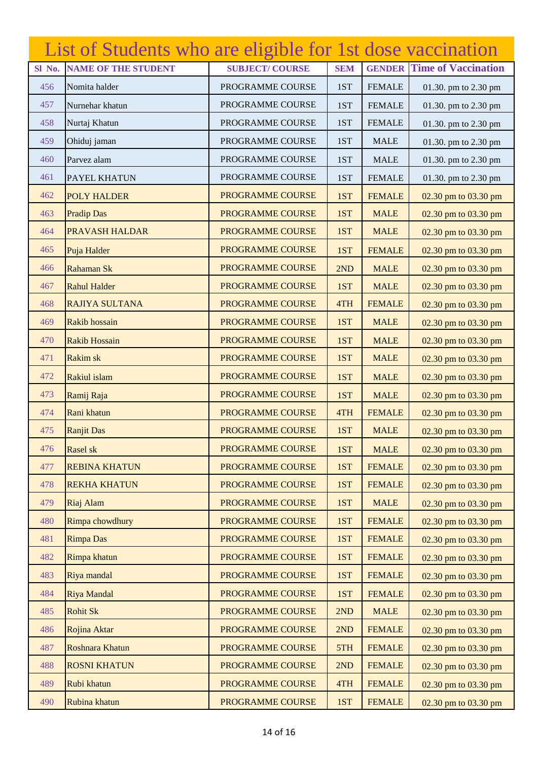|        | List of Students who are eligible for 1st dose vaccination |                       |            |               |                            |
|--------|------------------------------------------------------------|-----------------------|------------|---------------|----------------------------|
| Sl No. | <b>NAME OF THE STUDENT</b>                                 | <b>SUBJECT/COURSE</b> | <b>SEM</b> | <b>GENDER</b> | <b>Time of Vaccination</b> |
| 456    | Nomita halder                                              | PROGRAMME COURSE      | 1ST        | <b>FEMALE</b> | 01.30. pm to 2.30 pm       |
| 457    | Nurnehar khatun                                            | PROGRAMME COURSE      | 1ST        | <b>FEMALE</b> | 01.30. pm to 2.30 pm       |
| 458    | Nurtaj Khatun                                              | PROGRAMME COURSE      | 1ST        | <b>FEMALE</b> | 01.30. pm to 2.30 pm       |
| 459    | Ohiduj jaman                                               | PROGRAMME COURSE      | 1ST        | <b>MALE</b>   | 01.30. pm to 2.30 pm       |
| 460    | Parvez alam                                                | PROGRAMME COURSE      | 1ST        | <b>MALE</b>   | 01.30. pm to 2.30 pm       |
| 461    | PAYEL KHATUN                                               | PROGRAMME COURSE      | 1ST        | <b>FEMALE</b> | 01.30. pm to 2.30 pm       |
| 462    | <b>POLY HALDER</b>                                         | PROGRAMME COURSE      | 1ST        | <b>FEMALE</b> | 02.30 pm to 03.30 pm       |
| 463    | <b>Pradip Das</b>                                          | PROGRAMME COURSE      | 1ST        | <b>MALE</b>   | 02.30 pm to 03.30 pm       |
| 464    | <b>PRAVASH HALDAR</b>                                      | PROGRAMME COURSE      | 1ST        | <b>MALE</b>   | 02.30 pm to 03.30 pm       |
| 465    | Puja Halder                                                | PROGRAMME COURSE      | 1ST        | <b>FEMALE</b> | 02.30 pm to 03.30 pm       |
| 466    | Rahaman Sk                                                 | PROGRAMME COURSE      | 2ND        | <b>MALE</b>   | 02.30 pm to 03.30 pm       |
| 467    | <b>Rahul Halder</b>                                        | PROGRAMME COURSE      | 1ST        | <b>MALE</b>   | 02.30 pm to 03.30 pm       |
| 468    | <b>RAJIYA SULTANA</b>                                      | PROGRAMME COURSE      | 4TH        | <b>FEMALE</b> | 02.30 pm to 03.30 pm       |
| 469    | Rakib hossain                                              | PROGRAMME COURSE      | 1ST        | <b>MALE</b>   | 02.30 pm to 03.30 pm       |
| 470    | <b>Rakib Hossain</b>                                       | PROGRAMME COURSE      | 1ST        | <b>MALE</b>   | 02.30 pm to 03.30 pm       |
| 471    | <b>Rakim sk</b>                                            | PROGRAMME COURSE      | 1ST        | <b>MALE</b>   | 02.30 pm to 03.30 pm       |
| 472    | Rakiul islam                                               | PROGRAMME COURSE      | 1ST        | <b>MALE</b>   | 02.30 pm to 03.30 pm       |
| 473    | Ramij Raja                                                 | PROGRAMME COURSE      | 1ST        | <b>MALE</b>   | 02.30 pm to 03.30 pm       |
| 474    | Rani khatun                                                | PROGRAMME COURSE      | 4TH        | <b>FEMALE</b> | 02.30 pm to 03.30 pm       |
| 475    | <b>Ranjit Das</b>                                          | PROGRAMME COURSE      | 1ST        | <b>MALE</b>   | 02.30 pm to 03.30 pm       |
| 476    | Rasel sk                                                   | PROGRAMME COURSE      | 1ST        | <b>MALE</b>   | 02.30 pm to 03.30 pm       |
| 477    | <b>REBINA KHATUN</b>                                       | PROGRAMME COURSE      | 1ST        | <b>FEMALE</b> | 02.30 pm to 03.30 pm       |
| 478    | <b>REKHA KHATUN</b>                                        | PROGRAMME COURSE      | 1ST        | <b>FEMALE</b> | 02.30 pm to 03.30 pm       |
| 479    | Riaj Alam                                                  | PROGRAMME COURSE      | 1ST        | <b>MALE</b>   | 02.30 pm to 03.30 pm       |
| 480    | Rimpa chowdhury                                            | PROGRAMME COURSE      | 1ST        | <b>FEMALE</b> | 02.30 pm to 03.30 pm       |
| 481    | <b>Rimpa Das</b>                                           | PROGRAMME COURSE      | 1ST        | <b>FEMALE</b> | 02.30 pm to 03.30 pm       |
| 482    | Rimpa khatun                                               | PROGRAMME COURSE      | 1ST        | <b>FEMALE</b> | 02.30 pm to 03.30 pm       |
| 483    | Riya mandal                                                | PROGRAMME COURSE      | 1ST        | <b>FEMALE</b> | 02.30 pm to 03.30 pm       |
| 484    | Riya Mandal                                                | PROGRAMME COURSE      | 1ST        | <b>FEMALE</b> | 02.30 pm to 03.30 pm       |
| 485    | <b>Rohit Sk</b>                                            | PROGRAMME COURSE      | 2ND        | <b>MALE</b>   | 02.30 pm to 03.30 pm       |
| 486    | Rojina Aktar                                               | PROGRAMME COURSE      | 2ND        | <b>FEMALE</b> | 02.30 pm to 03.30 pm       |
| 487    | Roshnara Khatun                                            | PROGRAMME COURSE      | 5TH        | <b>FEMALE</b> | 02.30 pm to 03.30 pm       |
| 488    | <b>ROSNI KHATUN</b>                                        | PROGRAMME COURSE      | 2ND        | <b>FEMALE</b> | 02.30 pm to 03.30 pm       |
| 489    | Rubi khatun                                                | PROGRAMME COURSE      | 4TH        | <b>FEMALE</b> | 02.30 pm to 03.30 pm       |
| 490    | Rubina khatun                                              | PROGRAMME COURSE      | 1ST        | <b>FEMALE</b> | 02.30 pm to 03.30 pm       |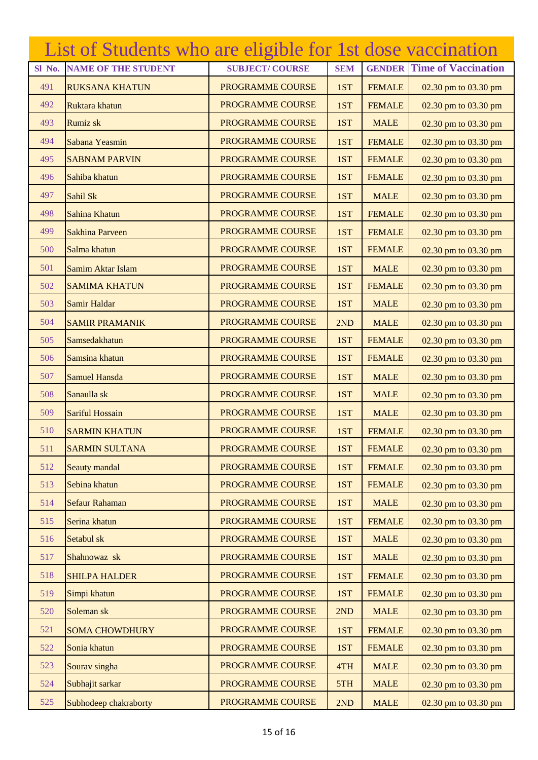|        | List of Students who are eligible for 1st dose vaccination |                       |            |               |                            |
|--------|------------------------------------------------------------|-----------------------|------------|---------------|----------------------------|
| Sl No. | <b>NAME OF THE STUDENT</b>                                 | <b>SUBJECT/COURSE</b> | <b>SEM</b> | <b>GENDER</b> | <b>Time of Vaccination</b> |
| 491    | <b>RUKSANA KHATUN</b>                                      | PROGRAMME COURSE      | 1ST        | <b>FEMALE</b> | 02.30 pm to 03.30 pm       |
| 492    | Ruktara khatun                                             | PROGRAMME COURSE      | 1ST        | <b>FEMALE</b> | 02.30 pm to 03.30 pm       |
| 493    | <b>Rumiz sk</b>                                            | PROGRAMME COURSE      | 1ST        | <b>MALE</b>   | 02.30 pm to 03.30 pm       |
| 494    | Sabana Yeasmin                                             | PROGRAMME COURSE      | 1ST        | <b>FEMALE</b> | 02.30 pm to 03.30 pm       |
| 495    | <b>SABNAM PARVIN</b>                                       | PROGRAMME COURSE      | 1ST        | <b>FEMALE</b> | 02.30 pm to 03.30 pm       |
| 496    | Sahiba khatun                                              | PROGRAMME COURSE      | 1ST        | <b>FEMALE</b> | 02.30 pm to 03.30 pm       |
| 497    | Sahil Sk                                                   | PROGRAMME COURSE      | 1ST        | <b>MALE</b>   | 02.30 pm to 03.30 pm       |
| 498    | Sahina Khatun                                              | PROGRAMME COURSE      | 1ST        | <b>FEMALE</b> | 02.30 pm to 03.30 pm       |
| 499    | <b>Sakhina Parveen</b>                                     | PROGRAMME COURSE      | 1ST        | <b>FEMALE</b> | 02.30 pm to 03.30 pm       |
| 500    | Salma khatun                                               | PROGRAMME COURSE      | 1ST        | <b>FEMALE</b> | 02.30 pm to 03.30 pm       |
| 501    | Samim Aktar Islam                                          | PROGRAMME COURSE      | 1ST        | <b>MALE</b>   | 02.30 pm to 03.30 pm       |
| 502    | <b>SAMIMA KHATUN</b>                                       | PROGRAMME COURSE      | 1ST        | <b>FEMALE</b> | 02.30 pm to 03.30 pm       |
| 503    | Samir Haldar                                               | PROGRAMME COURSE      | 1ST        | <b>MALE</b>   | 02.30 pm to 03.30 pm       |
| 504    | <b>SAMIR PRAMANIK</b>                                      | PROGRAMME COURSE      | 2ND        | <b>MALE</b>   | 02.30 pm to 03.30 pm       |
| 505    | Samsedakhatun                                              | PROGRAMME COURSE      | 1ST        | <b>FEMALE</b> | 02.30 pm to 03.30 pm       |
| 506    | Samsina khatun                                             | PROGRAMME COURSE      | 1ST        | <b>FEMALE</b> | 02.30 pm to 03.30 pm       |
| 507    | <b>Samuel Hansda</b>                                       | PROGRAMME COURSE      | 1ST        | <b>MALE</b>   | 02.30 pm to 03.30 pm       |
| 508    | Sanaulla sk                                                | PROGRAMME COURSE      | 1ST        | <b>MALE</b>   | 02.30 pm to 03.30 pm       |
| 509    | Sariful Hossain                                            | PROGRAMME COURSE      | 1ST        | <b>MALE</b>   | 02.30 pm to 03.30 pm       |
| 510    | <b>SARMIN KHATUN</b>                                       | PROGRAMME COURSE      | 1ST        | <b>FEMALE</b> | 02.30 pm to 03.30 pm       |
| 511    | <b>SARMIN SULTANA</b>                                      | PROGRAMME COURSE      | 1ST        | <b>FEMALE</b> | 02.30 pm to 03.30 pm       |
| 512    | Seauty mandal                                              | PROGRAMME COURSE      | 1ST        | <b>FEMALE</b> | 02.30 pm to 03.30 pm       |
| 513    | Sebina khatun                                              | PROGRAMME COURSE      | 1ST        | <b>FEMALE</b> | 02.30 pm to 03.30 pm       |
| 514    | <b>Sefaur Rahaman</b>                                      | PROGRAMME COURSE      | 1ST        | <b>MALE</b>   | 02.30 pm to 03.30 pm       |
| 515    | Serina khatun                                              | PROGRAMME COURSE      | 1ST        | <b>FEMALE</b> | 02.30 pm to 03.30 pm       |
| 516    | Setabul sk                                                 | PROGRAMME COURSE      | 1ST        | <b>MALE</b>   | 02.30 pm to 03.30 pm       |
| 517    | Shahnowaz sk                                               | PROGRAMME COURSE      | 1ST        | <b>MALE</b>   | 02.30 pm to 03.30 pm       |
| 518    | <b>SHILPA HALDER</b>                                       | PROGRAMME COURSE      | 1ST        | <b>FEMALE</b> | 02.30 pm to 03.30 pm       |
| 519    | Simpi khatun                                               | PROGRAMME COURSE      | 1ST        | <b>FEMALE</b> | 02.30 pm to 03.30 pm       |
| 520    | Soleman sk                                                 | PROGRAMME COURSE      | 2ND        | <b>MALE</b>   | 02.30 pm to 03.30 pm       |
| 521    | <b>SOMA CHOWDHURY</b>                                      | PROGRAMME COURSE      | 1ST        | <b>FEMALE</b> | 02.30 pm to 03.30 pm       |
| 522    | Sonia khatun                                               | PROGRAMME COURSE      | 1ST        | <b>FEMALE</b> | 02.30 pm to 03.30 pm       |
| 523    | Sourav singha                                              | PROGRAMME COURSE      | 4TH        | <b>MALE</b>   | 02.30 pm to 03.30 pm       |
| 524    | Subhajit sarkar                                            | PROGRAMME COURSE      | 5TH        | <b>MALE</b>   | 02.30 pm to 03.30 pm       |
| 525    | Subhodeep chakraborty                                      | PROGRAMME COURSE      | 2ND        | <b>MALE</b>   | 02.30 pm to 03.30 pm       |